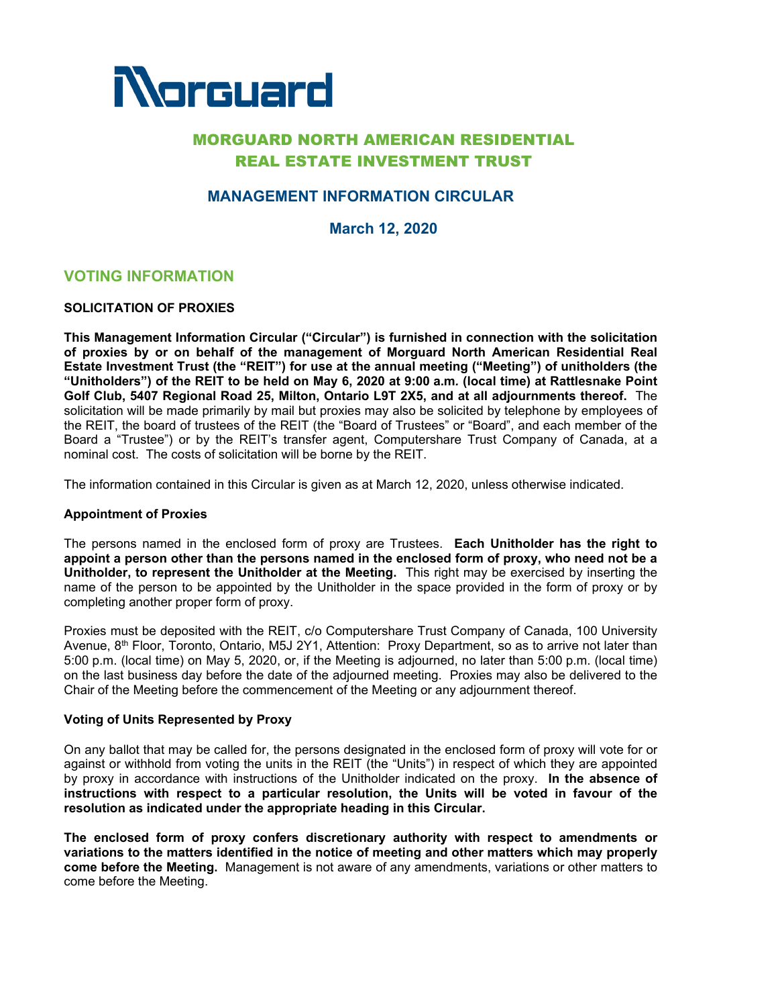

# MORGUARD NORTH AMERICAN RESIDENTIAL REAL ESTATE INVESTMENT TRUST

# **MANAGEMENT INFORMATION CIRCULAR**

**March 12, 2020**

# **VOTING INFORMATION**

### **SOLICITATION OF PROXIES**

**This Management Information Circular ("Circular") is furnished in connection with the solicitation of proxies by or on behalf of the management of Morguard North American Residential Real Estate Investment Trust (the "REIT") for use at the annual meeting ("Meeting") of unitholders (the "Unitholders") of the REIT to be held on May 6, 2020 at 9:00 a.m***.* **(local time) at Rattlesnake Point Golf Club, 5407 Regional Road 25, Milton, Ontario L9T 2X5, and at all adjournments thereof.** The solicitation will be made primarily by mail but proxies may also be solicited by telephone by employees of the REIT, the board of trustees of the REIT (the "Board of Trustees" or "Board", and each member of the Board a "Trustee") or by the REIT's transfer agent, Computershare Trust Company of Canada, at a nominal cost. The costs of solicitation will be borne by the REIT.

The information contained in this Circular is given as at March 12, 2020, unless otherwise indicated.

### **Appointment of Proxies**

The persons named in the enclosed form of proxy are Trustees. **Each Unitholder has the right to appoint a person other than the persons named in the enclosed form of proxy, who need not be a Unitholder, to represent the Unitholder at the Meeting.** This right may be exercised by inserting the name of the person to be appointed by the Unitholder in the space provided in the form of proxy or by completing another proper form of proxy.

Proxies must be deposited with the REIT, c/o Computershare Trust Company of Canada, 100 University Avenue, 8<sup>th</sup> Floor, Toronto, Ontario, M5J 2Y1, Attention: Proxy Department, so as to arrive not later than 5:00 p.m. (local time) on May 5, 2020, or, if the Meeting is adjourned, no later than 5:00 p.m. (local time) on the last business day before the date of the adjourned meeting. Proxies may also be delivered to the Chair of the Meeting before the commencement of the Meeting or any adjournment thereof.

### **Voting of Units Represented by Proxy**

On any ballot that may be called for, the persons designated in the enclosed form of proxy will vote for or against or withhold from voting the units in the REIT (the "Units") in respect of which they are appointed by proxy in accordance with instructions of the Unitholder indicated on the proxy. **In the absence of instructions with respect to a particular resolution, the Units will be voted in favour of the resolution as indicated under the appropriate heading in this Circular.**

**The enclosed form of proxy confers discretionary authority with respect to amendments or variations to the matters identified in the notice of meeting and other matters which may properly come before the Meeting.** Management is not aware of any amendments, variations or other matters to come before the Meeting.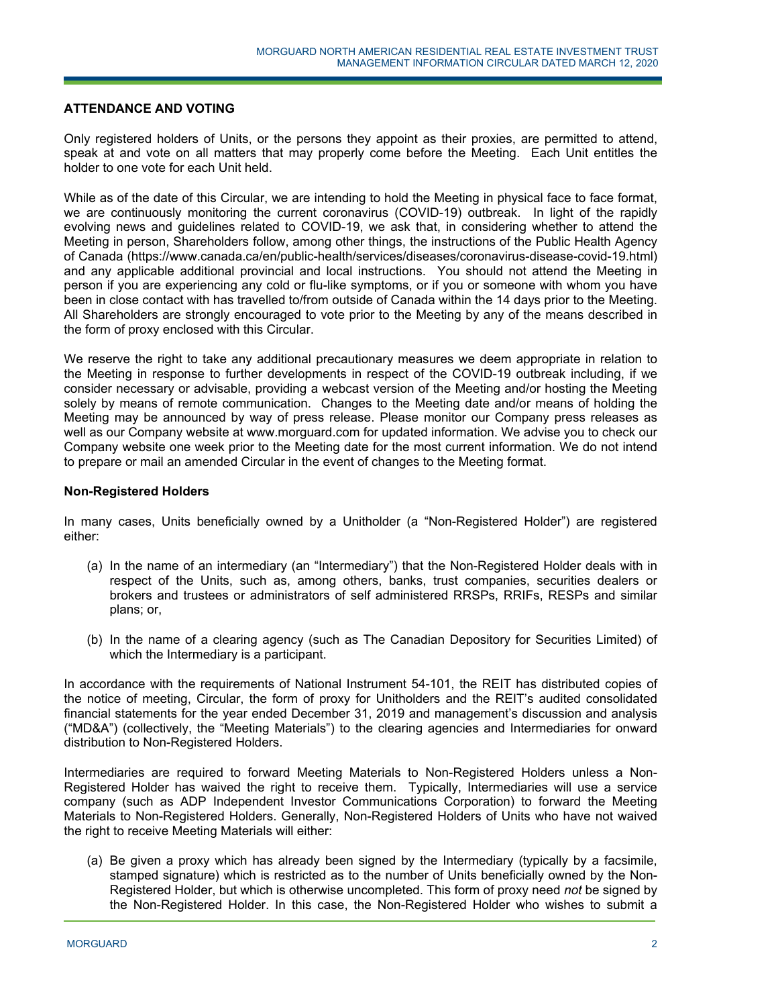## **ATTENDANCE AND VOTING**

Only registered holders of Units, or the persons they appoint as their proxies, are permitted to attend, speak at and vote on all matters that may properly come before the Meeting. Each Unit entitles the holder to one vote for each Unit held.

While as of the date of this Circular, we are intending to hold the Meeting in physical face to face format, we are continuously monitoring the current coronavirus (COVID-19) outbreak. In light of the rapidly evolving news and guidelines related to COVID-19, we ask that, in considering whether to attend the Meeting in person, Shareholders follow, among other things, the instructions of the Public Health Agency of Canada (https://www.canada.ca/en/public-health/services/diseases/coronavirus-disease-covid-19.html) and any applicable additional provincial and local instructions. You should not attend the Meeting in person if you are experiencing any cold or flu-like symptoms, or if you or someone with whom you have been in close contact with has travelled to/from outside of Canada within the 14 days prior to the Meeting. All Shareholders are strongly encouraged to vote prior to the Meeting by any of the means described in the form of proxy enclosed with this Circular.

We reserve the right to take any additional precautionary measures we deem appropriate in relation to the Meeting in response to further developments in respect of the COVID-19 outbreak including, if we consider necessary or advisable, providing a webcast version of the Meeting and/or hosting the Meeting solely by means of remote communication. Changes to the Meeting date and/or means of holding the Meeting may be announced by way of press release. Please monitor our Company press releases as well as our Company website at www.morguard.com for updated information. We advise you to check our Company website one week prior to the Meeting date for the most current information. We do not intend to prepare or mail an amended Circular in the event of changes to the Meeting format.

### **Non-Registered Holders**

In many cases, Units beneficially owned by a Unitholder (a "Non-Registered Holder") are registered either:

- (a) In the name of an intermediary (an "Intermediary") that the Non-Registered Holder deals with in respect of the Units, such as, among others, banks, trust companies, securities dealers or brokers and trustees or administrators of self administered RRSPs, RRIFs, RESPs and similar plans; or,
- (b) In the name of a clearing agency (such as The Canadian Depository for Securities Limited) of which the Intermediary is a participant.

In accordance with the requirements of National Instrument 54-101, the REIT has distributed copies of the notice of meeting, Circular, the form of proxy for Unitholders and the REIT's audited consolidated financial statements for the year ended December 31, 2019 and management's discussion and analysis ("MD&A") (collectively, the "Meeting Materials") to the clearing agencies and Intermediaries for onward distribution to Non-Registered Holders.

Intermediaries are required to forward Meeting Materials to Non-Registered Holders unless a Non-Registered Holder has waived the right to receive them. Typically, Intermediaries will use a service company (such as ADP Independent Investor Communications Corporation) to forward the Meeting Materials to Non-Registered Holders. Generally, Non-Registered Holders of Units who have not waived the right to receive Meeting Materials will either:

(a) Be given a proxy which has already been signed by the Intermediary (typically by a facsimile, stamped signature) which is restricted as to the number of Units beneficially owned by the Non-Registered Holder, but which is otherwise uncompleted. This form of proxy need *not* be signed by the Non-Registered Holder. In this case, the Non-Registered Holder who wishes to submit a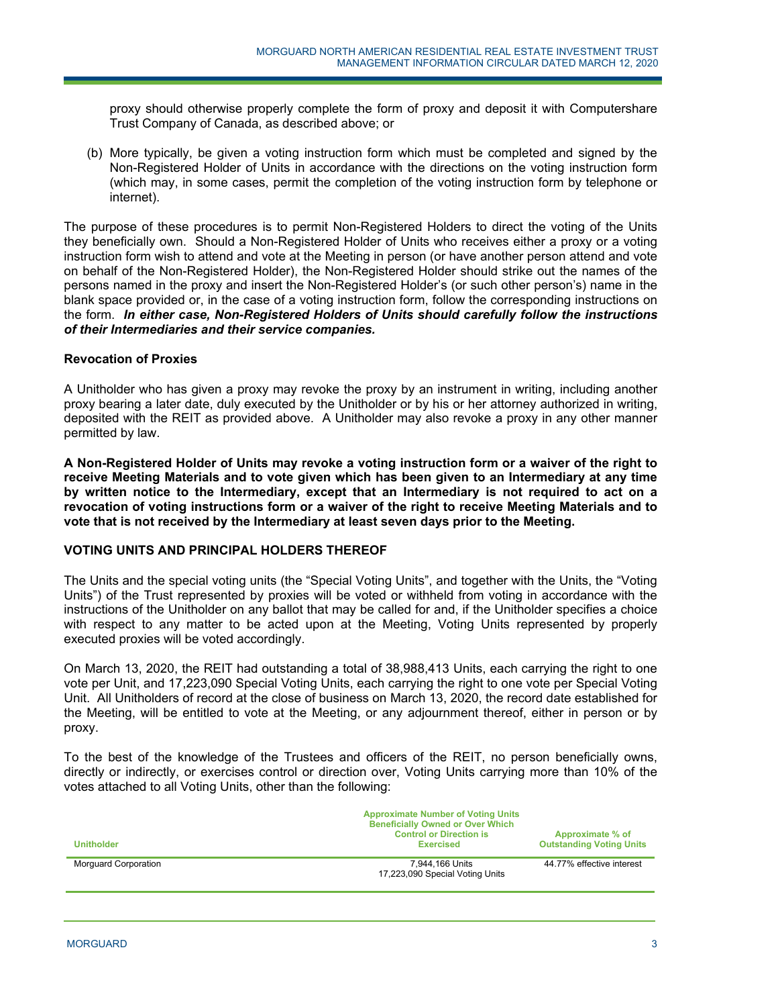proxy should otherwise properly complete the form of proxy and deposit it with Computershare Trust Company of Canada, as described above; or

(b) More typically, be given a voting instruction form which must be completed and signed by the Non-Registered Holder of Units in accordance with the directions on the voting instruction form (which may, in some cases, permit the completion of the voting instruction form by telephone or internet).

The purpose of these procedures is to permit Non-Registered Holders to direct the voting of the Units they beneficially own. Should a Non-Registered Holder of Units who receives either a proxy or a voting instruction form wish to attend and vote at the Meeting in person (or have another person attend and vote on behalf of the Non-Registered Holder), the Non-Registered Holder should strike out the names of the persons named in the proxy and insert the Non-Registered Holder's (or such other person's) name in the blank space provided or, in the case of a voting instruction form, follow the corresponding instructions on the form. *In either case, Non-Registered Holders of Units should carefully follow the instructions of their Intermediaries and their service companies.*

### **Revocation of Proxies**

A Unitholder who has given a proxy may revoke the proxy by an instrument in writing, including another proxy bearing a later date, duly executed by the Unitholder or by his or her attorney authorized in writing, deposited with the REIT as provided above. A Unitholder may also revoke a proxy in any other manner permitted by law.

**A Non-Registered Holder of Units may revoke a voting instruction form or a waiver of the right to receive Meeting Materials and to vote given which has been given to an Intermediary at any time by written notice to the Intermediary, except that an Intermediary is not required to act on a revocation of voting instructions form or a waiver of the right to receive Meeting Materials and to vote that is not received by the Intermediary at least seven days prior to the Meeting.** 

### **VOTING UNITS AND PRINCIPAL HOLDERS THEREOF**

The Units and the special voting units (the "Special Voting Units", and together with the Units, the "Voting Units") of the Trust represented by proxies will be voted or withheld from voting in accordance with the instructions of the Unitholder on any ballot that may be called for and, if the Unitholder specifies a choice with respect to any matter to be acted upon at the Meeting, Voting Units represented by properly executed proxies will be voted accordingly.

On March 13, 2020, the REIT had outstanding a total of 38,988,413 Units, each carrying the right to one vote per Unit, and 17,223,090 Special Voting Units, each carrying the right to one vote per Special Voting Unit. All Unitholders of record at the close of business on March 13, 2020, the record date established for the Meeting, will be entitled to vote at the Meeting, or any adjournment thereof, either in person or by proxy.

To the best of the knowledge of the Trustees and officers of the REIT, no person beneficially owns, directly or indirectly, or exercises control or direction over, Voting Units carrying more than 10% of the votes attached to all Voting Units, other than the following:

| <b>Unitholder</b>    | <b>Approximate Number of Voting Units</b><br><b>Beneficially Owned or Over Which</b><br><b>Control or Direction is</b><br><b>Exercised</b> | Approximate % of<br><b>Outstanding Voting Units</b> |
|----------------------|--------------------------------------------------------------------------------------------------------------------------------------------|-----------------------------------------------------|
| Morguard Corporation | 7,944,166 Units<br>17,223,090 Special Voting Units                                                                                         | 44.77% effective interest                           |
|                      |                                                                                                                                            |                                                     |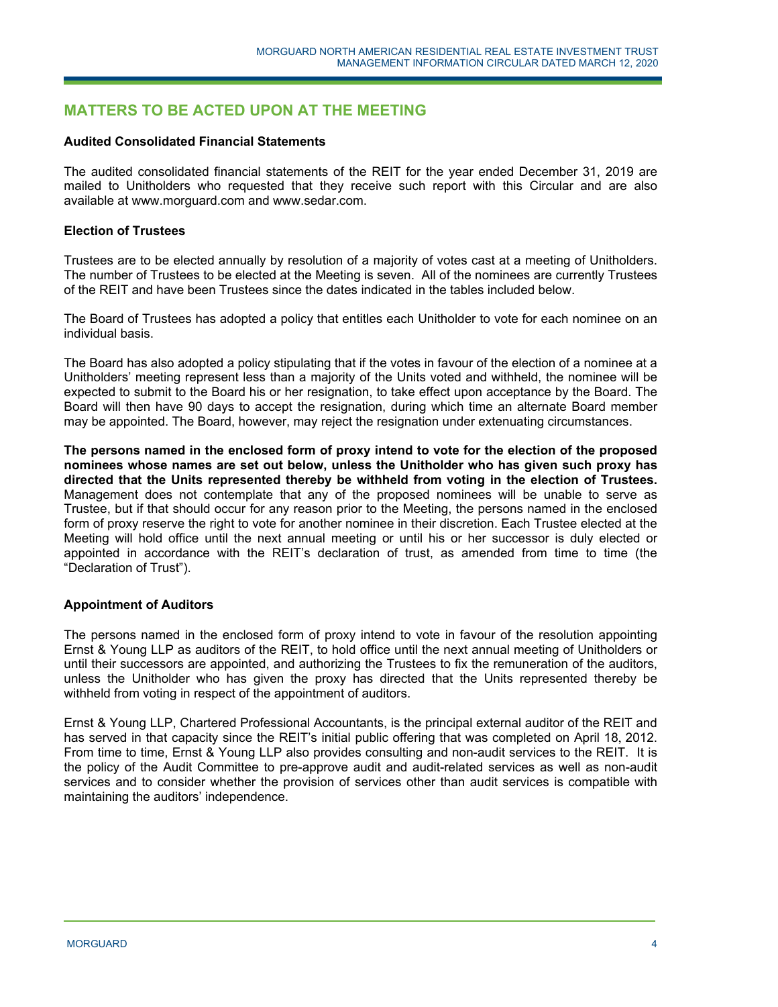# **MATTERS TO BE ACTED UPON AT THE MEETING**

### **Audited Consolidated Financial Statements**

The audited consolidated financial statements of the REIT for the year ended December 31, 2019 are mailed to Unitholders who requested that they receive such report with this Circular and are also available at www.morguard.com and www.sedar.com.

### **Election of Trustees**

Trustees are to be elected annually by resolution of a majority of votes cast at a meeting of Unitholders. The number of Trustees to be elected at the Meeting is seven. All of the nominees are currently Trustees of the REIT and have been Trustees since the dates indicated in the tables included below.

The Board of Trustees has adopted a policy that entitles each Unitholder to vote for each nominee on an individual basis.

The Board has also adopted a policy stipulating that if the votes in favour of the election of a nominee at a Unitholders' meeting represent less than a majority of the Units voted and withheld, the nominee will be expected to submit to the Board his or her resignation, to take effect upon acceptance by the Board. The Board will then have 90 days to accept the resignation, during which time an alternate Board member may be appointed. The Board, however, may reject the resignation under extenuating circumstances.

**The persons named in the enclosed form of proxy intend to vote for the election of the proposed nominees whose names are set out below, unless the Unitholder who has given such proxy has directed that the Units represented thereby be withheld from voting in the election of Trustees.** Management does not contemplate that any of the proposed nominees will be unable to serve as Trustee, but if that should occur for any reason prior to the Meeting, the persons named in the enclosed form of proxy reserve the right to vote for another nominee in their discretion. Each Trustee elected at the Meeting will hold office until the next annual meeting or until his or her successor is duly elected or appointed in accordance with the REIT's declaration of trust, as amended from time to time (the "Declaration of Trust").

### **Appointment of Auditors**

The persons named in the enclosed form of proxy intend to vote in favour of the resolution appointing Ernst & Young LLP as auditors of the REIT, to hold office until the next annual meeting of Unitholders or until their successors are appointed, and authorizing the Trustees to fix the remuneration of the auditors, unless the Unitholder who has given the proxy has directed that the Units represented thereby be withheld from voting in respect of the appointment of auditors.

Ernst & Young LLP, Chartered Professional Accountants, is the principal external auditor of the REIT and has served in that capacity since the REIT's initial public offering that was completed on April 18, 2012. From time to time, Ernst & Young LLP also provides consulting and non-audit services to the REIT. It is the policy of the Audit Committee to pre-approve audit and audit-related services as well as non-audit services and to consider whether the provision of services other than audit services is compatible with maintaining the auditors' independence.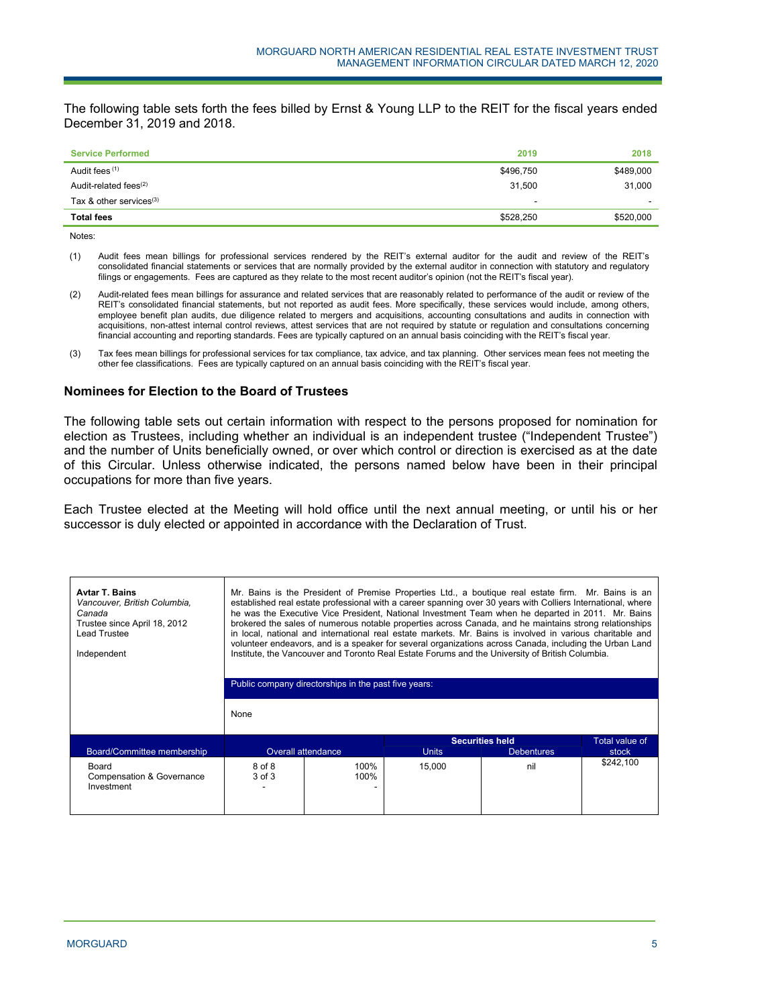The following table sets forth the fees billed by Ernst & Young LLP to the REIT for the fiscal years ended December 31, 2019 and 2018.

| <b>Service Performed</b>   | 2019      | 2018      |
|----------------------------|-----------|-----------|
| Audit fees (1)             | \$496,750 | \$489,000 |
| Audit-related fees $(2)$   | 31,500    | 31.000    |
| Tax & other services $(3)$ |           |           |
| <b>Total fees</b>          | \$528,250 | \$520,000 |

Notes:

(1) Audit fees mean billings for professional services rendered by the REIT's external auditor for the audit and review of the REIT's consolidated financial statements or services that are normally provided by the external auditor in connection with statutory and regulatory filings or engagements. Fees are captured as they relate to the most recent auditor's opinion (not the REIT's fiscal year).

(2) Audit-related fees mean billings for assurance and related services that are reasonably related to performance of the audit or review of the REIT's consolidated financial statements, but not reported as audit fees. More specifically, these services would include, among others, employee benefit plan audits, due diligence related to mergers and acquisitions, accounting consultations and audits in connection with acquisitions, non-attest internal control reviews, attest services that are not required by statute or regulation and consultations concerning financial accounting and reporting standards. Fees are typically captured on an annual basis coinciding with the REIT's fiscal year.

(3) Tax fees mean billings for professional services for tax compliance, tax advice, and tax planning. Other services mean fees not meeting the other fee classifications. Fees are typically captured on an annual basis coinciding with the REIT's fiscal year.

## **Nominees for Election to the Board of Trustees**

The following table sets out certain information with respect to the persons proposed for nomination for election as Trustees, including whether an individual is an independent trustee ("Independent Trustee") and the number of Units beneficially owned, or over which control or direction is exercised as at the date of this Circular. Unless otherwise indicated, the persons named below have been in their principal occupations for more than five years.

Each Trustee elected at the Meeting will hold office until the next annual meeting, or until his or her successor is duly elected or appointed in accordance with the Declaration of Trust.

| <b>Avtar T. Bains</b><br>Vancouver, British Columbia,<br>Canada<br>Trustee since April 18, 2012<br>Lead Trustee<br>Independent | Mr. Bains is the President of Premise Properties Ltd., a boutique real estate firm. Mr. Bains is an<br>established real estate professional with a career spanning over 30 years with Colliers International, where<br>he was the Executive Vice President, National Investment Team when he departed in 2011. Mr. Bains<br>brokered the sales of numerous notable properties across Canada, and he maintains strong relationships<br>in local, national and international real estate markets. Mr. Bains is involved in various charitable and<br>volunteer endeavors, and is a speaker for several organizations across Canada, including the Urban Land<br>Institute, the Vancouver and Toronto Real Estate Forums and the University of British Columbia.<br>Public company directorships in the past five years:<br>None |                    |              |                        |                       |  |  |
|--------------------------------------------------------------------------------------------------------------------------------|-------------------------------------------------------------------------------------------------------------------------------------------------------------------------------------------------------------------------------------------------------------------------------------------------------------------------------------------------------------------------------------------------------------------------------------------------------------------------------------------------------------------------------------------------------------------------------------------------------------------------------------------------------------------------------------------------------------------------------------------------------------------------------------------------------------------------------|--------------------|--------------|------------------------|-----------------------|--|--|
|                                                                                                                                |                                                                                                                                                                                                                                                                                                                                                                                                                                                                                                                                                                                                                                                                                                                                                                                                                               |                    |              | <b>Securities held</b> | <b>Total value of</b> |  |  |
| Board/Committee membership                                                                                                     |                                                                                                                                                                                                                                                                                                                                                                                                                                                                                                                                                                                                                                                                                                                                                                                                                               | Overall attendance | <b>Units</b> | <b>Debentures</b>      | stock                 |  |  |
| Board<br><b>Compensation &amp; Governance</b><br>Investment                                                                    | 8 of 8<br>3 of 3                                                                                                                                                                                                                                                                                                                                                                                                                                                                                                                                                                                                                                                                                                                                                                                                              | 100%<br>100%       | 15.000       | nil                    | \$242,100             |  |  |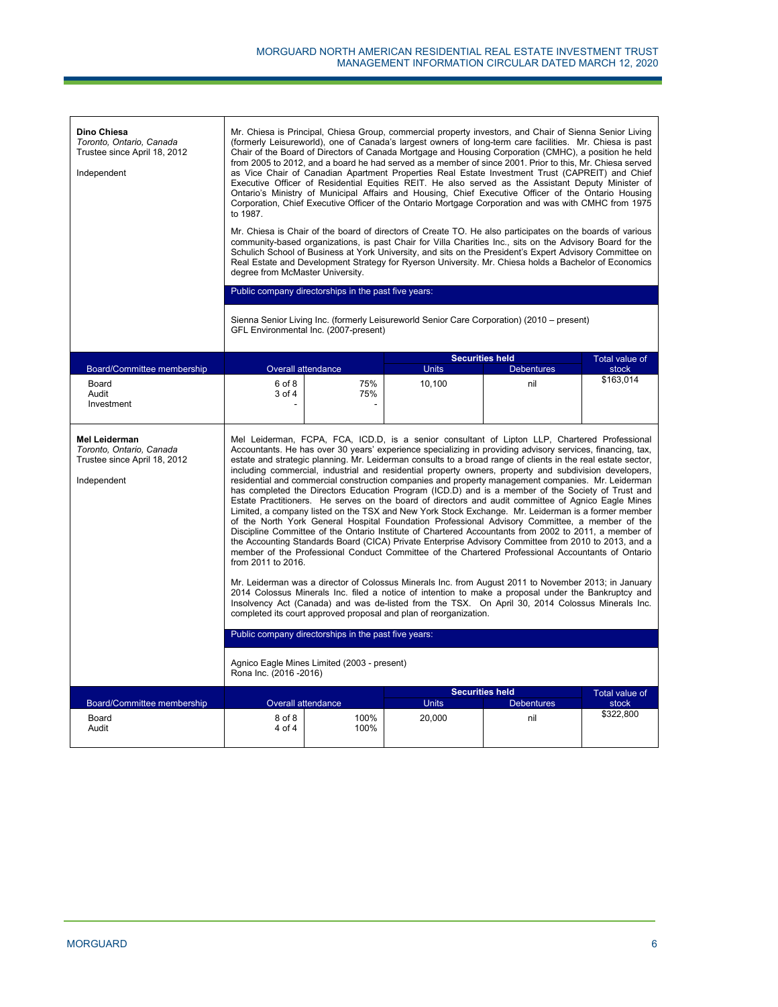| Dino Chiesa<br>Toronto, Ontario, Canada<br>Trustee since April 18, 2012<br>Independent          | Mr. Chiesa is Principal, Chiesa Group, commercial property investors, and Chair of Sienna Senior Living<br>(formerly Leisureworld), one of Canada's largest owners of long-term care facilities. Mr. Chiesa is past<br>Chair of the Board of Directors of Canada Mortgage and Housing Corporation (CMHC), a position he held<br>from 2005 to 2012, and a board he had served as a member of since 2001. Prior to this, Mr. Chiesa served<br>as Vice Chair of Canadian Apartment Properties Real Estate Investment Trust (CAPREIT) and Chief<br>Executive Officer of Residential Equities REIT. He also served as the Assistant Deputy Minister of<br>Ontario's Ministry of Municipal Affairs and Housing, Chief Executive Officer of the Ontario Housing<br>Corporation, Chief Executive Officer of the Ontario Mortgage Corporation and was with CMHC from 1975<br>to 1987.<br>Mr. Chiesa is Chair of the board of directors of Create TO. He also participates on the boards of various<br>community-based organizations, is past Chair for Villa Charities Inc., sits on the Advisory Board for the<br>Schulich School of Business at York University, and sits on the President's Expert Advisory Committee on<br>Real Estate and Development Strategy for Ryerson University. Mr. Chiesa holds a Bachelor of Economics<br>degree from McMaster University.<br>Public company directorships in the past five years:<br>Sienna Senior Living Inc. (formerly Leisureworld Senior Care Corporation) (2010 – present)<br>GFL Environmental Inc. (2007-present)                                                                                                                                                                                                                                             |                           |              |                        |                    |  |
|-------------------------------------------------------------------------------------------------|------------------------------------------------------------------------------------------------------------------------------------------------------------------------------------------------------------------------------------------------------------------------------------------------------------------------------------------------------------------------------------------------------------------------------------------------------------------------------------------------------------------------------------------------------------------------------------------------------------------------------------------------------------------------------------------------------------------------------------------------------------------------------------------------------------------------------------------------------------------------------------------------------------------------------------------------------------------------------------------------------------------------------------------------------------------------------------------------------------------------------------------------------------------------------------------------------------------------------------------------------------------------------------------------------------------------------------------------------------------------------------------------------------------------------------------------------------------------------------------------------------------------------------------------------------------------------------------------------------------------------------------------------------------------------------------------------------------------------------------------------------------------------------------------------------|---------------------------|--------------|------------------------|--------------------|--|
|                                                                                                 |                                                                                                                                                                                                                                                                                                                                                                                                                                                                                                                                                                                                                                                                                                                                                                                                                                                                                                                                                                                                                                                                                                                                                                                                                                                                                                                                                                                                                                                                                                                                                                                                                                                                                                                                                                                                            |                           |              | <b>Securities held</b> | Total value of     |  |
| Board/Committee membership                                                                      | Overall attendance                                                                                                                                                                                                                                                                                                                                                                                                                                                                                                                                                                                                                                                                                                                                                                                                                                                                                                                                                                                                                                                                                                                                                                                                                                                                                                                                                                                                                                                                                                                                                                                                                                                                                                                                                                                         |                           | <b>Units</b> | <b>Debentures</b>      | stock              |  |
| Board<br>Audit<br>Investment                                                                    | 6 of 8<br>3 of 4                                                                                                                                                                                                                                                                                                                                                                                                                                                                                                                                                                                                                                                                                                                                                                                                                                                                                                                                                                                                                                                                                                                                                                                                                                                                                                                                                                                                                                                                                                                                                                                                                                                                                                                                                                                           | 75%<br>75%                | 10,100       | nil                    | \$163,014          |  |
| <b>Mel Leiderman</b><br>Toronto, Ontario, Canada<br>Trustee since April 18, 2012<br>Independent | Mel Leiderman, FCPA, FCA, ICD.D, is a senior consultant of Lipton LLP, Chartered Professional<br>Accountants. He has over 30 years' experience specializing in providing advisory services, financing, tax,<br>estate and strategic planning. Mr. Leiderman consults to a broad range of clients in the real estate sector,<br>including commercial, industrial and residential property owners, property and subdivision developers,<br>residential and commercial construction companies and property management companies. Mr. Leiderman<br>has completed the Directors Education Program (ICD.D) and is a member of the Society of Trust and<br>Estate Practitioners. He serves on the board of directors and audit committee of Agnico Eagle Mines<br>Limited, a company listed on the TSX and New York Stock Exchange. Mr. Leiderman is a former member<br>of the North York General Hospital Foundation Professional Advisory Committee, a member of the<br>Discipline Committee of the Ontario Institute of Chartered Accountants from 2002 to 2011, a member of<br>the Accounting Standards Board (CICA) Private Enterprise Advisory Committee from 2010 to 2013, and a<br>member of the Professional Conduct Committee of the Chartered Professional Accountants of Ontario<br>from 2011 to 2016.<br>Mr. Leiderman was a director of Colossus Minerals Inc. from August 2011 to November 2013; in January<br>2014 Colossus Minerals Inc. filed a notice of intention to make a proposal under the Bankruptcy and<br>Insolvency Act (Canada) and was de-listed from the TSX. On April 30, 2014 Colossus Minerals Inc.<br>completed its court approved proposal and plan of reorganization.<br>Public company directorships in the past five years:<br>Agnico Eagle Mines Limited (2003 - present) |                           |              |                        |                    |  |
|                                                                                                 |                                                                                                                                                                                                                                                                                                                                                                                                                                                                                                                                                                                                                                                                                                                                                                                                                                                                                                                                                                                                                                                                                                                                                                                                                                                                                                                                                                                                                                                                                                                                                                                                                                                                                                                                                                                                            |                           |              | <b>Securities held</b> | Total value of     |  |
| Board/Committee membership                                                                      |                                                                                                                                                                                                                                                                                                                                                                                                                                                                                                                                                                                                                                                                                                                                                                                                                                                                                                                                                                                                                                                                                                                                                                                                                                                                                                                                                                                                                                                                                                                                                                                                                                                                                                                                                                                                            | <b>Overall attendance</b> | <b>Units</b> | <b>Debentures</b>      | stock<br>\$322,800 |  |
| Board<br>Audit                                                                                  | 8 of 8<br>4 of 4                                                                                                                                                                                                                                                                                                                                                                                                                                                                                                                                                                                                                                                                                                                                                                                                                                                                                                                                                                                                                                                                                                                                                                                                                                                                                                                                                                                                                                                                                                                                                                                                                                                                                                                                                                                           | 100%<br>100%              | 20.000       | nil                    |                    |  |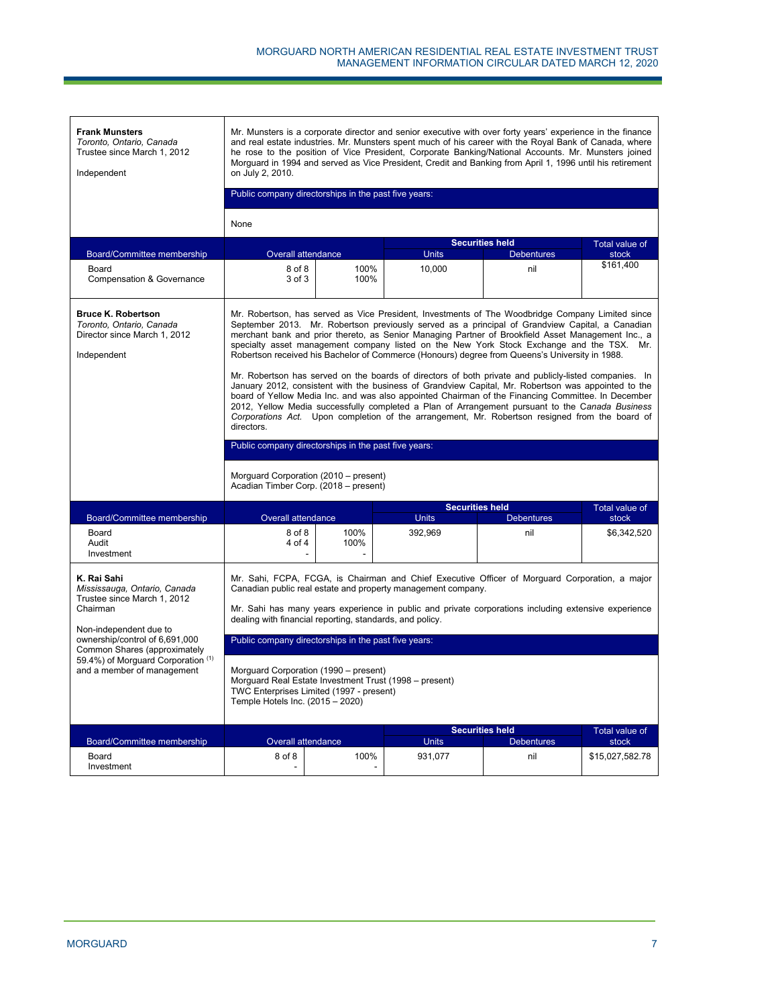| <b>Frank Munsters</b><br>Toronto, Ontario, Canada<br>Trustee since March 1, 2012<br>Independent                                                                                    | Mr. Munsters is a corporate director and senior executive with over forty years' experience in the finance<br>and real estate industries. Mr. Munsters spent much of his career with the Roval Bank of Canada, where<br>he rose to the position of Vice President, Corporate Banking/National Accounts. Mr. Munsters joined<br>Morguard in 1994 and served as Vice President, Credit and Banking from April 1, 1996 until his retirement<br>on July 2, 2010.<br>Public company directorships in the past five years:<br>None                                                                                                                                                                                                                                                                                                                                                                                                                                                                                                        |              |                         |                                             |                         |  |  |  |
|------------------------------------------------------------------------------------------------------------------------------------------------------------------------------------|-------------------------------------------------------------------------------------------------------------------------------------------------------------------------------------------------------------------------------------------------------------------------------------------------------------------------------------------------------------------------------------------------------------------------------------------------------------------------------------------------------------------------------------------------------------------------------------------------------------------------------------------------------------------------------------------------------------------------------------------------------------------------------------------------------------------------------------------------------------------------------------------------------------------------------------------------------------------------------------------------------------------------------------|--------------|-------------------------|---------------------------------------------|-------------------------|--|--|--|
|                                                                                                                                                                                    |                                                                                                                                                                                                                                                                                                                                                                                                                                                                                                                                                                                                                                                                                                                                                                                                                                                                                                                                                                                                                                     |              |                         | <b>Securities held</b>                      | Total value of          |  |  |  |
| Board/Committee membership                                                                                                                                                         | Overall attendance                                                                                                                                                                                                                                                                                                                                                                                                                                                                                                                                                                                                                                                                                                                                                                                                                                                                                                                                                                                                                  |              | <b>Units</b>            | <b>Debentures</b>                           | stock                   |  |  |  |
| Board<br><b>Compensation &amp; Governance</b>                                                                                                                                      | 8 of 8<br>3 of 3                                                                                                                                                                                                                                                                                                                                                                                                                                                                                                                                                                                                                                                                                                                                                                                                                                                                                                                                                                                                                    | 100%<br>100% | 10.000                  | nil                                         | \$161,400               |  |  |  |
| <b>Bruce K. Robertson</b><br>Toronto, Ontario, Canada<br>Director since March 1, 2012<br>Independent                                                                               | Mr. Robertson, has served as Vice President, Investments of The Woodbridge Company Limited since<br>September 2013. Mr. Robertson previously served as a principal of Grandview Capital, a Canadian<br>merchant bank and prior thereto, as Senior Managing Partner of Brookfield Asset Management Inc., a<br>specialty asset management company listed on the New York Stock Exchange and the TSX. Mr.<br>Robertson received his Bachelor of Commerce (Honours) degree from Queens's University in 1988.<br>Mr. Robertson has served on the boards of directors of both private and publicly-listed companies. In<br>January 2012, consistent with the business of Grandview Capital, Mr. Robertson was appointed to the<br>board of Yellow Media Inc. and was also appointed Chairman of the Financing Committee. In December<br>2012, Yellow Media successfully completed a Plan of Arrangement pursuant to the Canada Business<br>Corporations Act. Upon completion of the arrangement, Mr. Robertson resigned from the board of |              |                         |                                             |                         |  |  |  |
|                                                                                                                                                                                    | directors.<br>Public company directorships in the past five years:                                                                                                                                                                                                                                                                                                                                                                                                                                                                                                                                                                                                                                                                                                                                                                                                                                                                                                                                                                  |              |                         |                                             |                         |  |  |  |
|                                                                                                                                                                                    | Morguard Corporation (2010 – present)<br>Acadian Timber Corp. (2018 - present)                                                                                                                                                                                                                                                                                                                                                                                                                                                                                                                                                                                                                                                                                                                                                                                                                                                                                                                                                      |              |                         |                                             |                         |  |  |  |
|                                                                                                                                                                                    |                                                                                                                                                                                                                                                                                                                                                                                                                                                                                                                                                                                                                                                                                                                                                                                                                                                                                                                                                                                                                                     |              | <b>Securities held</b>  |                                             | Total value of          |  |  |  |
| Board/Committee membership<br>Board<br>Audit<br>Investment                                                                                                                         | <b>Overall attendance</b><br>8 of 8<br>4 of 4                                                                                                                                                                                                                                                                                                                                                                                                                                                                                                                                                                                                                                                                                                                                                                                                                                                                                                                                                                                       | 100%<br>100% | <b>Units</b><br>392,969 | <b>Debentures</b><br>nil                    | stock<br>\$6,342,520    |  |  |  |
| K. Rai Sahi<br>Mississauga, Ontario, Canada<br>Trustee since March 1, 2012<br>Chairman<br>Non-independent due to<br>ownership/control of 6,691,000<br>Common Shares (approximately | Mr. Sahi, FCPA, FCGA, is Chairman and Chief Executive Officer of Morguard Corporation, a major<br>Canadian public real estate and property management company.<br>Mr. Sahi has many years experience in public and private corporations including extensive experience<br>dealing with financial reporting, standards, and policy.<br>Public company directorships in the past five years:                                                                                                                                                                                                                                                                                                                                                                                                                                                                                                                                                                                                                                          |              |                         |                                             |                         |  |  |  |
| 59.4%) of Morguard Corporation (1)<br>and a member of management                                                                                                                   | Morguard Corporation (1990 – present)<br>Morguard Real Estate Investment Trust (1998 – present)<br>TWC Enterprises Limited (1997 - present)<br>Temple Hotels Inc. (2015 - 2020)                                                                                                                                                                                                                                                                                                                                                                                                                                                                                                                                                                                                                                                                                                                                                                                                                                                     |              |                         |                                             |                         |  |  |  |
| Board/Committee membership                                                                                                                                                         | <b>Overall attendance</b>                                                                                                                                                                                                                                                                                                                                                                                                                                                                                                                                                                                                                                                                                                                                                                                                                                                                                                                                                                                                           |              | <b>Units</b>            | <b>Securities held</b><br><b>Debentures</b> | Total value of<br>stock |  |  |  |
| Board<br>Investment                                                                                                                                                                | 8 of 8                                                                                                                                                                                                                                                                                                                                                                                                                                                                                                                                                                                                                                                                                                                                                                                                                                                                                                                                                                                                                              | 100%         | 931.077                 | nil                                         | \$15,027,582.78         |  |  |  |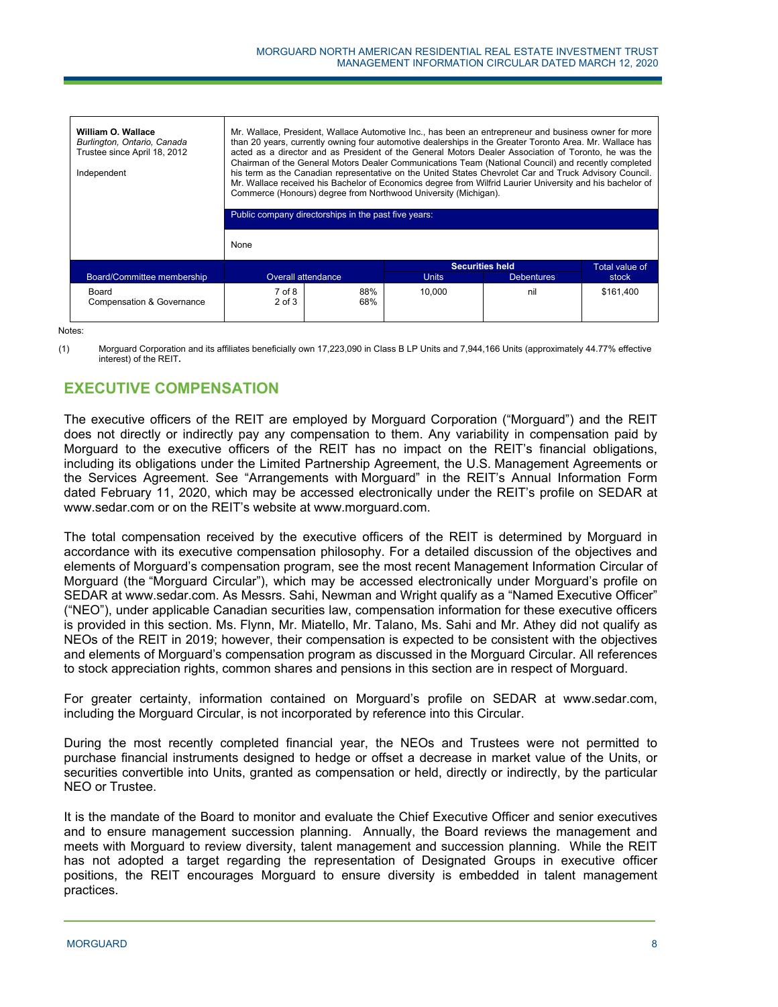| William O. Wallace<br>Burlington, Ontario, Canada<br>Trustee since April 18, 2012<br>Independent |                           | Mr. Wallace, President, Wallace Automotive Inc., has been an entrepreneur and business owner for more<br>than 20 years, currently owning four automotive dealerships in the Greater Toronto Area. Mr. Wallace has<br>acted as a director and as President of the General Motors Dealer Association of Toronto, he was the<br>Chairman of the General Motors Dealer Communications Team (National Council) and recently completed<br>his term as the Canadian representative on the United States Chevrolet Car and Truck Advisory Council.<br>Mr. Wallace received his Bachelor of Economics degree from Wilfrid Laurier University and his bachelor of<br>Commerce (Honours) degree from Northwood University (Michigan).<br>Public company directorships in the past five years: |              |                        |                |  |  |  |
|--------------------------------------------------------------------------------------------------|---------------------------|------------------------------------------------------------------------------------------------------------------------------------------------------------------------------------------------------------------------------------------------------------------------------------------------------------------------------------------------------------------------------------------------------------------------------------------------------------------------------------------------------------------------------------------------------------------------------------------------------------------------------------------------------------------------------------------------------------------------------------------------------------------------------------|--------------|------------------------|----------------|--|--|--|
|                                                                                                  |                           |                                                                                                                                                                                                                                                                                                                                                                                                                                                                                                                                                                                                                                                                                                                                                                                    |              |                        |                |  |  |  |
|                                                                                                  | None                      |                                                                                                                                                                                                                                                                                                                                                                                                                                                                                                                                                                                                                                                                                                                                                                                    |              |                        |                |  |  |  |
|                                                                                                  |                           |                                                                                                                                                                                                                                                                                                                                                                                                                                                                                                                                                                                                                                                                                                                                                                                    |              | <b>Securities held</b> | Total value of |  |  |  |
| Board/Committee membership                                                                       | <b>Overall attendance</b> |                                                                                                                                                                                                                                                                                                                                                                                                                                                                                                                                                                                                                                                                                                                                                                                    | <b>Units</b> | <b>Debentures</b>      | stock          |  |  |  |
| Board<br><b>Compensation &amp; Governance</b>                                                    | 7 of 8<br>$2$ of $3$      | 88%<br>68%                                                                                                                                                                                                                                                                                                                                                                                                                                                                                                                                                                                                                                                                                                                                                                         | 10.000       | nil                    | \$161,400      |  |  |  |

Notes:

(1) Morguard Corporation and its affiliates beneficially own 17,223,090 in Class B LP Units and 7,944,166 Units (approximately 44.77% effective interest) of the REIT**.**

# **EXECUTIVE COMPENSATION**

The executive officers of the REIT are employed by Morguard Corporation ("Morguard") and the REIT does not directly or indirectly pay any compensation to them. Any variability in compensation paid by Morguard to the executive officers of the REIT has no impact on the REIT's financial obligations, including its obligations under the Limited Partnership Agreement, the U.S. Management Agreements or the Services Agreement. See "Arrangements with Morguard" in the REIT's Annual Information Form dated February 11, 2020, which may be accessed electronically under the REIT's profile on SEDAR at www.sedar.com or on the REIT's website at www.morguard.com.

The total compensation received by the executive officers of the REIT is determined by Morguard in accordance with its executive compensation philosophy. For a detailed discussion of the objectives and elements of Morguard's compensation program, see the most recent Management Information Circular of Morguard (the "Morguard Circular"), which may be accessed electronically under Morguard's profile on SEDAR at www.sedar.com. As Messrs. Sahi, Newman and Wright qualify as a "Named Executive Officer" ("NEO"), under applicable Canadian securities law, compensation information for these executive officers is provided in this section. Ms. Flynn, Mr. Miatello, Mr. Talano, Ms. Sahi and Mr. Athey did not qualify as NEOs of the REIT in 2019; however, their compensation is expected to be consistent with the objectives and elements of Morguard's compensation program as discussed in the Morguard Circular. All references to stock appreciation rights, common shares and pensions in this section are in respect of Morguard.

For greater certainty, information contained on Morguard's profile on SEDAR at www.sedar.com, including the Morguard Circular, is not incorporated by reference into this Circular.

During the most recently completed financial year, the NEOs and Trustees were not permitted to purchase financial instruments designed to hedge or offset a decrease in market value of the Units, or securities convertible into Units, granted as compensation or held, directly or indirectly, by the particular NEO or Trustee.

It is the mandate of the Board to monitor and evaluate the Chief Executive Officer and senior executives and to ensure management succession planning. Annually, the Board reviews the management and meets with Morguard to review diversity, talent management and succession planning. While the REIT has not adopted a target regarding the representation of Designated Groups in executive officer positions, the REIT encourages Morguard to ensure diversity is embedded in talent management practices.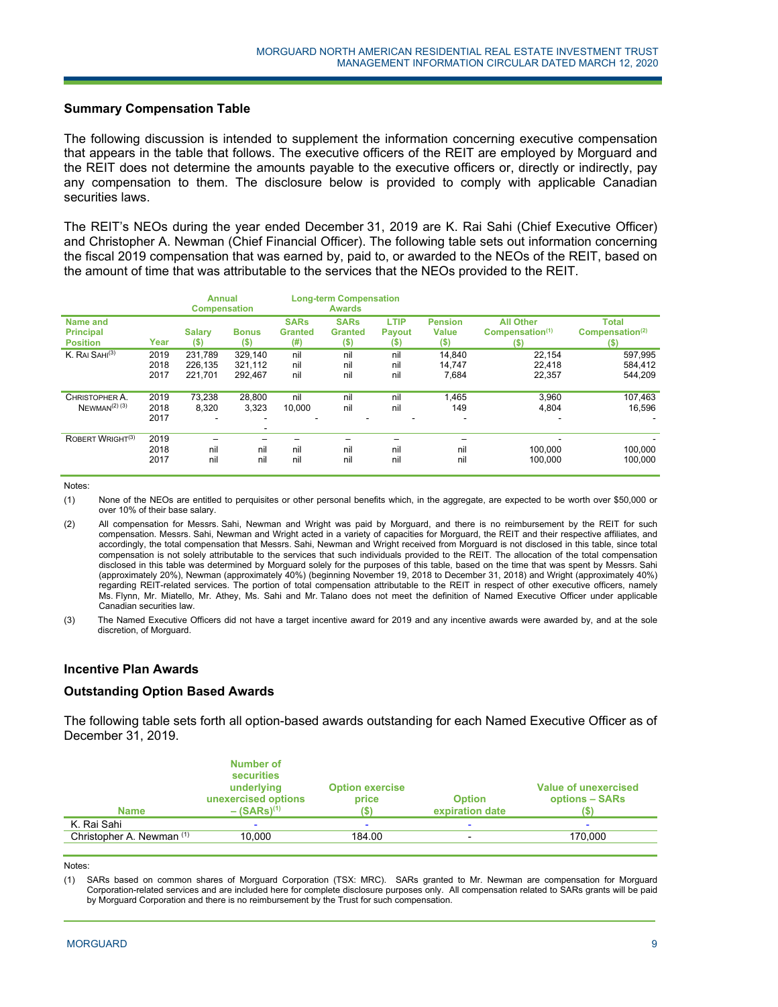## **Summary Compensation Table**

The following discussion is intended to supplement the information concerning executive compensation that appears in the table that follows. The executive officers of the REIT are employed by Morguard and the REIT does not determine the amounts payable to the executive officers or, directly or indirectly, pay any compensation to them. The disclosure below is provided to comply with applicable Canadian securities laws.

The REIT's NEOs during the year ended December 31, 2019 are K. Rai Sahi (Chief Executive Officer) and Christopher A. Newman (Chief Financial Officer). The following table sets out information concerning the fiscal 2019 compensation that was earned by, paid to, or awarded to the NEOs of the REIT, based on the amount of time that was attributable to the services that the NEOs provided to the REIT.

|                              |      | <b>Annual</b><br><b>Compensation</b> |                          |                | <b>Long-term Compensation</b><br><b>Awards</b> |               |                          |                             |                             |
|------------------------------|------|--------------------------------------|--------------------------|----------------|------------------------------------------------|---------------|--------------------------|-----------------------------|-----------------------------|
| <b>Name and</b>              |      |                                      |                          | <b>SARs</b>    | <b>SARs</b>                                    | LTIP          | <b>Pension</b>           | <b>All Other</b>            | <b>Total</b>                |
| <b>Principal</b>             |      | <b>Salary</b>                        | <b>Bonus</b>             | <b>Granted</b> | <b>Granted</b>                                 | <b>Payout</b> | <b>Value</b>             | Compensation <sup>(1)</sup> | Compensation <sup>(2)</sup> |
| <b>Position</b>              | Year | (\$)                                 | (S)                      | (# )           | $($ \$                                         | $(\$)$        | $($ \$                   | (\$)                        | (S)                         |
| K. RAI SAHI <sup>(3)</sup>   | 2019 | 231,789                              | 329,140                  | nil            | nil                                            | nil           | 14.840                   | 22,154                      | 597,995                     |
|                              | 2018 | 226,135                              | 321,112                  | nil            | nil                                            | nil           | 14,747                   | 22,418                      | 584,412                     |
|                              | 2017 | 221.701                              | 292.467                  | nil            | nil                                            | nil           | 7,684                    | 22.357                      | 544.209                     |
|                              |      |                                      |                          |                |                                                |               |                          |                             |                             |
| CHRISTOPHER A.               | 2019 | 73.238                               | 28,800                   | nil            | nil                                            | nil           | 1,465                    | 3,960                       | 107.463                     |
| $N$ EWMAN <sup>(2)</sup> (3) | 2018 | 8,320                                | 3.323                    | 10,000         | nil                                            | nil           | 149                      | 4,804                       | 16.596                      |
|                              | 2017 | ۰                                    | $\overline{\phantom{a}}$ |                |                                                |               | $\overline{\phantom{a}}$ |                             |                             |
|                              |      |                                      | $\overline{\phantom{a}}$ |                |                                                |               |                          |                             |                             |
| ROBERT WRIGHT <sup>(3)</sup> | 2019 |                                      |                          |                |                                                |               |                          |                             |                             |
|                              | 2018 | nil                                  | nil                      | nil            | nil                                            | nil           | nil                      | 100.000                     | 100.000                     |
|                              | 2017 | nil                                  | nil                      | nil            | nil                                            | nil           | nil                      | 100.000                     | 100,000                     |
|                              |      |                                      |                          |                |                                                |               |                          |                             |                             |

Notes:

(1) None of the NEOs are entitled to perquisites or other personal benefits which, in the aggregate, are expected to be worth over \$50,000 or over 10% of their base salary.

(2) All compensation for Messrs. Sahi, Newman and Wright was paid by Morguard, and there is no reimbursement by the REIT for such compensation. Messrs. Sahi, Newman and Wright acted in a variety of capacities for Morguard, the REIT and their respective affiliates, and accordingly, the total compensation that Messrs. Sahi, Newman and Wright received from Morguard is not disclosed in this table, since total compensation is not solely attributable to the services that such individuals provided to the REIT. The allocation of the total compensation disclosed in this table was determined by Morguard solely for the purposes of this table, based on the time that was spent by Messrs. Sahi (approximately 20%), Newman (approximately 40%) (beginning November 19, 2018 to December 31, 2018) and Wright (approximately 40%) regarding REIT-related services. The portion of total compensation attributable to the REIT in respect of other executive officers, namely Ms. Flynn, Mr. Miatello, Mr. Athey, Ms. Sahi and Mr. Talano does not meet the definition of Named Executive Officer under applicable Canadian securities law.

(3) The Named Executive Officers did not have a target incentive award for 2019 and any incentive awards were awarded by, and at the sole discretion, of Morguard.

#### **Incentive Plan Awards**

### **Outstanding Option Based Awards**

The following table sets forth all option-based awards outstanding for each Named Executive Officer as of December 31, 2019.

| <b>Name</b>               | Number of<br><b>securities</b><br>underlying<br>unexercised options<br>$-$ (SARs) <sup>(1)</sup> | <b>Option exercise</b><br>price | <b>Option</b><br>expiration date | Value of unexercised<br>options – SARs |
|---------------------------|--------------------------------------------------------------------------------------------------|---------------------------------|----------------------------------|----------------------------------------|
| K. Rai Sahi               |                                                                                                  |                                 |                                  |                                        |
| Christopher A. Newman (1) | 10.000                                                                                           | 184.00                          |                                  | 170.000                                |

Notes:

1

(1) SARs based on common shares of Morguard Corporation (TSX: MRC). SARs granted to Mr. Newman are compensation for Morguard Corporation-related services and are included here for complete disclosure purposes only. All compensation related to SARs grants will be paid by Morguard Corporation and there is no reimbursement by the Trust for such compensation.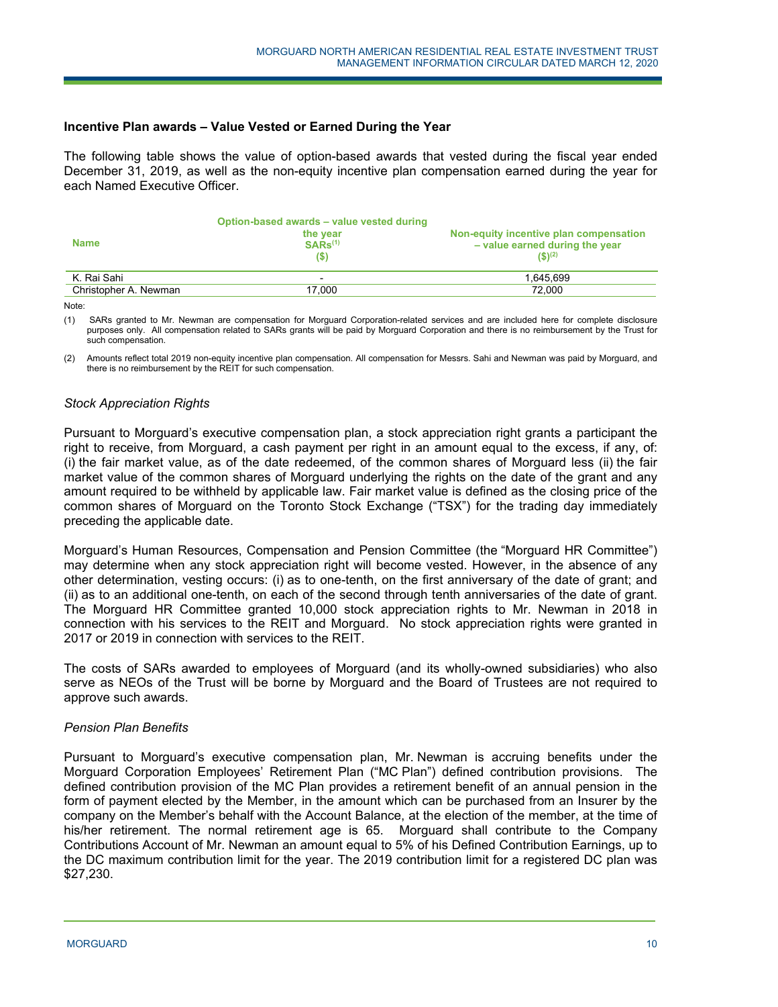### **Incentive Plan awards – Value Vested or Earned During the Year**

The following table shows the value of option-based awards that vested during the fiscal year ended December 31, 2019, as well as the non-equity incentive plan compensation earned during the year for each Named Executive Officer.

| <b>Name</b>           | Option-based awards - value vested during<br>the year<br>$SARS^{(1)}$<br>$($ \$ | Non-equity incentive plan compensation<br>- value earned during the year<br>$($ \$) <sup>(2)</sup> |
|-----------------------|---------------------------------------------------------------------------------|----------------------------------------------------------------------------------------------------|
| K. Rai Sahi           | $\overline{\phantom{0}}$                                                        | 1.645.699                                                                                          |
| Christopher A. Newman | 17.000                                                                          | 72.000                                                                                             |
|                       |                                                                                 |                                                                                                    |

Note:

(1) SARs granted to Mr. Newman are compensation for Morguard Corporation-related services and are included here for complete disclosure purposes only. All compensation related to SARs grants will be paid by Morguard Corporation and there is no reimbursement by the Trust for such compensation.

(2) Amounts reflect total 2019 non-equity incentive plan compensation. All compensation for Messrs. Sahi and Newman was paid by Morguard, and there is no reimbursement by the REIT for such compensation.

### *Stock Appreciation Rights*

Pursuant to Morguard's executive compensation plan, a stock appreciation right grants a participant the right to receive, from Morguard, a cash payment per right in an amount equal to the excess, if any, of: (i) the fair market value, as of the date redeemed, of the common shares of Morguard less (ii) the fair market value of the common shares of Morguard underlying the rights on the date of the grant and any amount required to be withheld by applicable law. Fair market value is defined as the closing price of the common shares of Morguard on the Toronto Stock Exchange ("TSX") for the trading day immediately preceding the applicable date.

Morguard's Human Resources, Compensation and Pension Committee (the "Morguard HR Committee") may determine when any stock appreciation right will become vested. However, in the absence of any other determination, vesting occurs: (i) as to one-tenth, on the first anniversary of the date of grant; and (ii) as to an additional one-tenth, on each of the second through tenth anniversaries of the date of grant. The Morguard HR Committee granted 10,000 stock appreciation rights to Mr. Newman in 2018 in connection with his services to the REIT and Morguard. No stock appreciation rights were granted in 2017 or 2019 in connection with services to the REIT.

The costs of SARs awarded to employees of Morguard (and its wholly-owned subsidiaries) who also serve as NEOs of the Trust will be borne by Morguard and the Board of Trustees are not required to approve such awards.

### *Pension Plan Benefits*

Pursuant to Morguard's executive compensation plan, Mr. Newman is accruing benefits under the Morguard Corporation Employees' Retirement Plan ("MC Plan") defined contribution provisions. The defined contribution provision of the MC Plan provides a retirement benefit of an annual pension in the form of payment elected by the Member, in the amount which can be purchased from an Insurer by the company on the Member's behalf with the Account Balance, at the election of the member, at the time of his/her retirement. The normal retirement age is 65. Morguard shall contribute to the Company Contributions Account of Mr. Newman an amount equal to 5% of his Defined Contribution Earnings, up to the DC maximum contribution limit for the year. The 2019 contribution limit for a registered DC plan was \$27,230.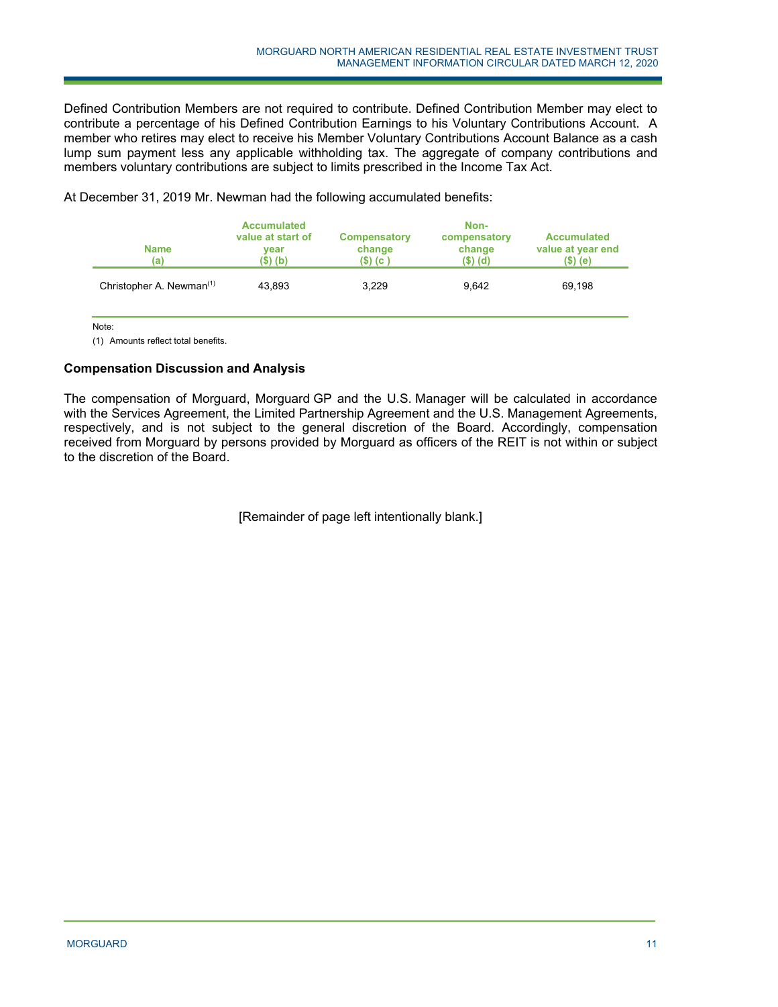Defined Contribution Members are not required to contribute. Defined Contribution Member may elect to contribute a percentage of his Defined Contribution Earnings to his Voluntary Contributions Account. A member who retires may elect to receive his Member Voluntary Contributions Account Balance as a cash lump sum payment less any applicable withholding tax. The aggregate of company contributions and members voluntary contributions are subject to limits prescribed in the Income Tax Act.

| <b>Name</b><br>(a)                   | <b>Accumulated</b><br>value at start of<br>vear<br>(\$) (b) | <b>Compensatory</b><br>change<br>$(S)$ (c) | Non-<br>compensatory<br>change<br>$(S)$ (d) | <b>Accumulated</b><br>value at year end<br>(\$) (e) |
|--------------------------------------|-------------------------------------------------------------|--------------------------------------------|---------------------------------------------|-----------------------------------------------------|
| Christopher A. Newman <sup>(1)</sup> | 43,893                                                      | 3,229                                      | 9.642                                       | 69.198                                              |

At December 31, 2019 Mr. Newman had the following accumulated benefits:

Note:

(1) Amounts reflect total benefits.

# **Compensation Discussion and Analysis**

The compensation of Morguard, Morguard GP and the U.S. Manager will be calculated in accordance with the Services Agreement, the Limited Partnership Agreement and the U.S. Management Agreements, respectively, and is not subject to the general discretion of the Board. Accordingly, compensation received from Morguard by persons provided by Morguard as officers of the REIT is not within or subject to the discretion of the Board.

[Remainder of page left intentionally blank.]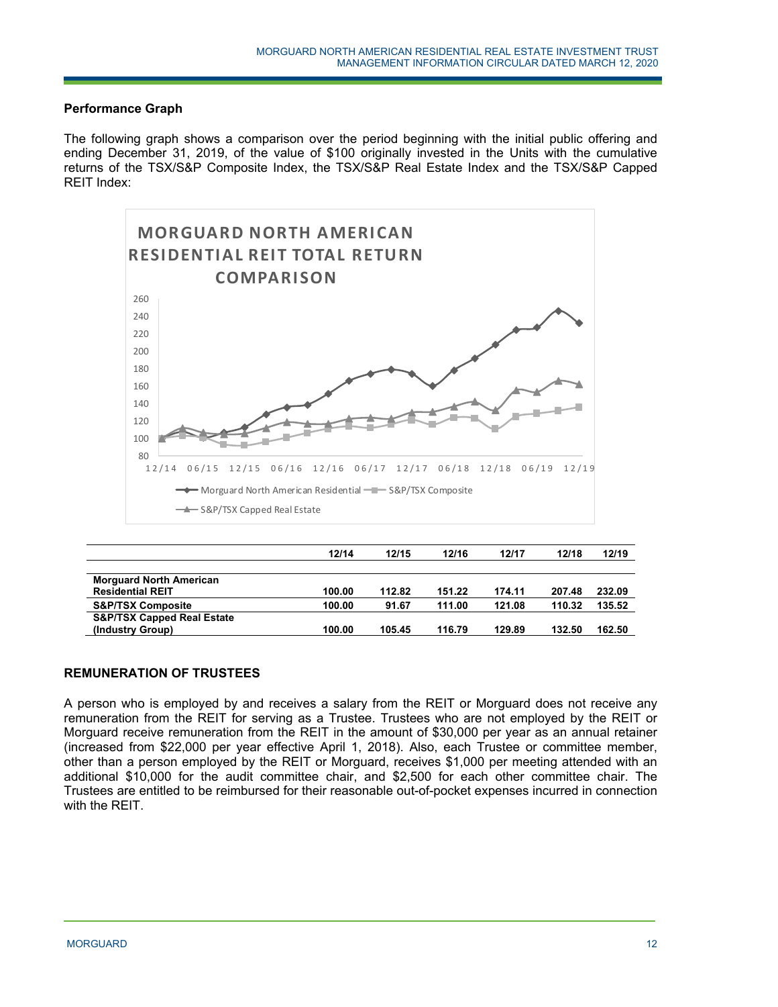## **Performance Graph**

The following graph shows a comparison over the period beginning with the initial public offering and ending December 31, 2019, of the value of \$100 originally invested in the Units with the cumulative returns of the TSX/S&P Composite Index, the TSX/S&P Real Estate Index and the TSX/S&P Capped REIT Index:



|                                       | 12/14  | 12/15  | 12/16  | 12/17  | 12/18  | 12/19  |
|---------------------------------------|--------|--------|--------|--------|--------|--------|
|                                       |        |        |        |        |        |        |
| <b>Morguard North American</b>        |        |        |        |        |        |        |
| <b>Residential REIT</b>               | 100.00 | 112.82 | 151.22 | 174.11 | 207.48 | 232.09 |
| <b>S&amp;P/TSX Composite</b>          | 100.00 | 91.67  | 111.00 | 121.08 | 110.32 | 135.52 |
| <b>S&amp;P/TSX Capped Real Estate</b> |        |        |        |        |        |        |
| (Industry Group)                      | 100.00 | 105.45 | 116.79 | 129.89 | 132.50 | 162.50 |

## **REMUNERATION OF TRUSTEES**

A person who is employed by and receives a salary from the REIT or Morguard does not receive any remuneration from the REIT for serving as a Trustee. Trustees who are not employed by the REIT or Morguard receive remuneration from the REIT in the amount of \$30,000 per year as an annual retainer (increased from \$22,000 per year effective April 1, 2018). Also, each Trustee or committee member, other than a person employed by the REIT or Morguard, receives \$1,000 per meeting attended with an additional \$10,000 for the audit committee chair, and \$2,500 for each other committee chair. The Trustees are entitled to be reimbursed for their reasonable out-of-pocket expenses incurred in connection with the REIT.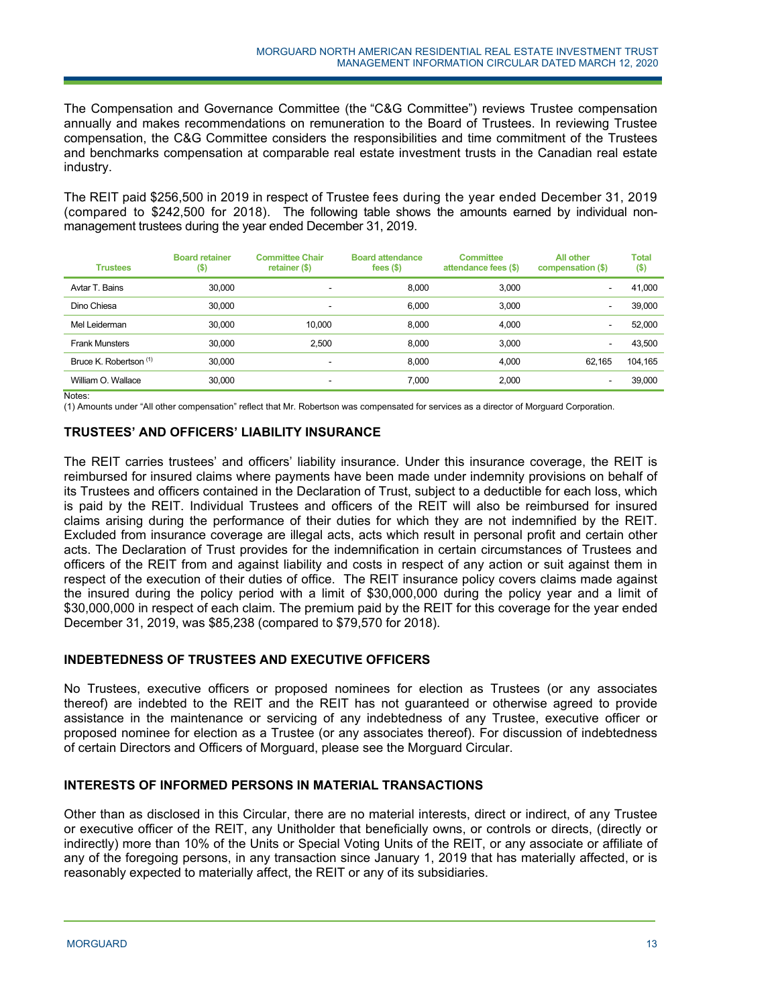The Compensation and Governance Committee (the "C&G Committee") reviews Trustee compensation annually and makes recommendations on remuneration to the Board of Trustees. In reviewing Trustee compensation, the C&G Committee considers the responsibilities and time commitment of the Trustees and benchmarks compensation at comparable real estate investment trusts in the Canadian real estate industry.

The REIT paid \$256,500 in 2019 in respect of Trustee fees during the year ended December 31, 2019 (compared to \$242,500 for 2018). The following table shows the amounts earned by individual nonmanagement trustees during the year ended December 31, 2019.

| <b>Trustees</b>        | <b>Board retainer</b><br>$($ \$) | <b>Committee Chair</b><br>retainer $($ \$) | <b>Board attendance</b><br>fees $(\$)$ | <b>Committee</b><br>attendance fees (\$) | <b>All other</b><br>compensation (\$) | <b>Total</b><br>$($ \$) |
|------------------------|----------------------------------|--------------------------------------------|----------------------------------------|------------------------------------------|---------------------------------------|-------------------------|
| Avtar T. Bains         | 30,000                           | -                                          | 8,000                                  | 3.000                                    | $\overline{\phantom{a}}$              | 41.000                  |
| Dino Chiesa            | 30,000                           | ۰.                                         | 6.000                                  | 3.000                                    | $\overline{\phantom{a}}$              | 39,000                  |
| Mel Leiderman          | 30,000                           | 10.000                                     | 8.000                                  | 4.000                                    | $\overline{\phantom{a}}$              | 52.000                  |
| <b>Frank Munsters</b>  | 30,000                           | 2.500                                      | 8.000                                  | 3.000                                    | $\overline{\phantom{a}}$              | 43,500                  |
| Bruce K. Robertson (1) | 30,000                           | ۰                                          | 8.000                                  | 4.000                                    | 62,165                                | 104.165                 |
| William O. Wallace     | 30,000                           | $\overline{\phantom{a}}$                   | 7.000                                  | 2.000                                    |                                       | 39,000                  |

Notes:

(1) Amounts under "All other compensation" reflect that Mr. Robertson was compensated for services as a director of Morguard Corporation.

## **TRUSTEES' AND OFFICERS' LIABILITY INSURANCE**

The REIT carries trustees' and officers' liability insurance. Under this insurance coverage, the REIT is reimbursed for insured claims where payments have been made under indemnity provisions on behalf of its Trustees and officers contained in the Declaration of Trust, subject to a deductible for each loss, which is paid by the REIT. Individual Trustees and officers of the REIT will also be reimbursed for insured claims arising during the performance of their duties for which they are not indemnified by the REIT. Excluded from insurance coverage are illegal acts, acts which result in personal profit and certain other acts. The Declaration of Trust provides for the indemnification in certain circumstances of Trustees and officers of the REIT from and against liability and costs in respect of any action or suit against them in respect of the execution of their duties of office. The REIT insurance policy covers claims made against the insured during the policy period with a limit of \$30,000,000 during the policy year and a limit of \$30,000,000 in respect of each claim. The premium paid by the REIT for this coverage for the year ended December 31, 2019, was \$85,238 (compared to \$79,570 for 2018).

# **INDEBTEDNESS OF TRUSTEES AND EXECUTIVE OFFICERS**

No Trustees, executive officers or proposed nominees for election as Trustees (or any associates thereof) are indebted to the REIT and the REIT has not guaranteed or otherwise agreed to provide assistance in the maintenance or servicing of any indebtedness of any Trustee, executive officer or proposed nominee for election as a Trustee (or any associates thereof). For discussion of indebtedness of certain Directors and Officers of Morguard, please see the Morguard Circular.

### **INTERESTS OF INFORMED PERSONS IN MATERIAL TRANSACTIONS**

Other than as disclosed in this Circular, there are no material interests, direct or indirect, of any Trustee or executive officer of the REIT, any Unitholder that beneficially owns, or controls or directs, (directly or indirectly) more than 10% of the Units or Special Voting Units of the REIT, or any associate or affiliate of any of the foregoing persons, in any transaction since January 1, 2019 that has materially affected, or is reasonably expected to materially affect, the REIT or any of its subsidiaries.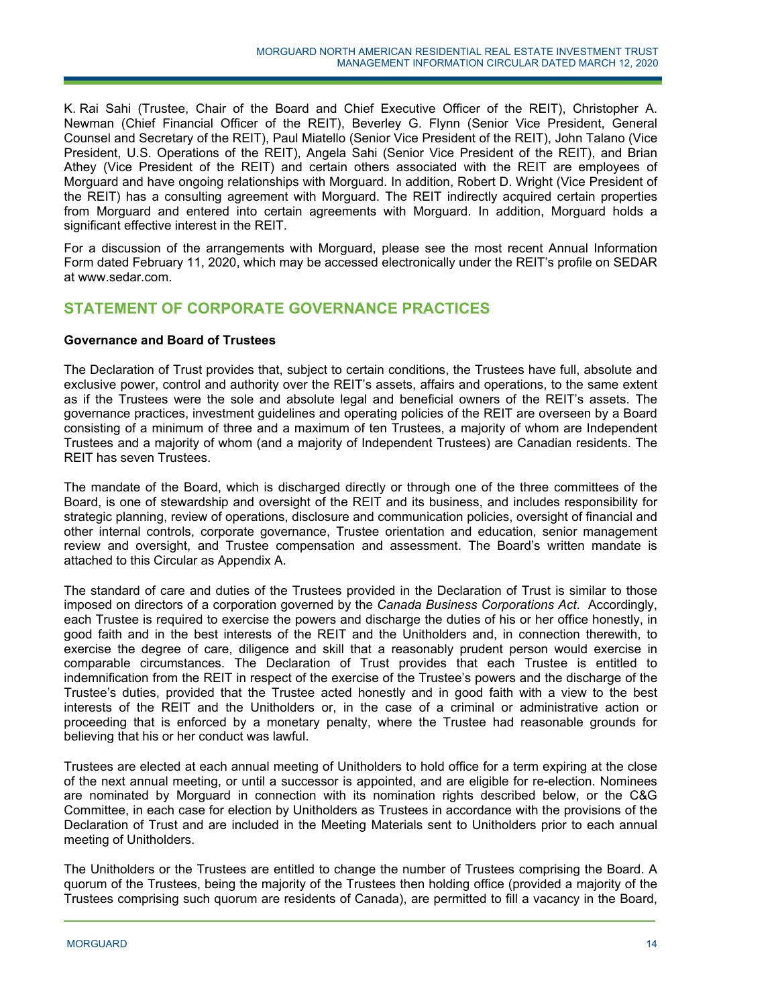K. Rai Sahi (Trustee, Chair of the Board and Chief Executive Officer of the REIT), Christopher A. Newman (Chief Financial Officer of the REIT), Beverley G. Flynn (Senior Vice President, General Counsel and Secretary of the REIT), Paul Miatello (Senior Vice President of the REIT), John Talano (Vice President, U.S. Operations of the REIT), Angela Sahi (Senior Vice President of the REIT), and Brian Athey (Vice President of the REIT) and certain others associated with the REIT are employees of Morguard and have ongoing relationships with Morguard. In addition, Robert D. Wright (Vice President of the REIT) has a consulting agreement with Morguard. The REIT indirectly acquired certain properties from Morguard and entered into certain agreements with Morguard. In addition, Morguard holds a significant effective interest in the REIT.

For a discussion of the arrangements with Morguard, please see the most recent Annual Information Form dated February 11, 2020, which may be accessed electronically under the REIT's profile on SEDAR at www.sedar.com.

# **STATEMENT OF CORPORATE GOVERNANCE PRACTICES**

## **Governance and Board of Trustees**

The Declaration of Trust provides that, subject to certain conditions, the Trustees have full, absolute and exclusive power, control and authority over the REIT's assets, affairs and operations, to the same extent as if the Trustees were the sole and absolute legal and beneficial owners of the REIT's assets. The governance practices, investment guidelines and operating policies of the REIT are overseen by a Board consisting of a minimum of three and a maximum of ten Trustees, a majority of whom are Independent Trustees and a majority of whom (and a majority of Independent Trustees) are Canadian residents. The REIT has seven Trustees.

The mandate of the Board, which is discharged directly or through one of the three committees of the Board, is one of stewardship and oversight of the REIT and its business, and includes responsibility for strategic planning, review of operations, disclosure and communication policies, oversight of financial and other internal controls, corporate governance, Trustee orientation and education, senior management review and oversight, and Trustee compensation and assessment. The Board's written mandate is attached to this Circular as Appendix A.

The standard of care and duties of the Trustees provided in the Declaration of Trust is similar to those imposed on directors of a corporation governed by the *Canada Business Corporations Act*. Accordingly, each Trustee is required to exercise the powers and discharge the duties of his or her office honestly, in good faith and in the best interests of the REIT and the Unitholders and, in connection therewith, to exercise the degree of care, diligence and skill that a reasonably prudent person would exercise in comparable circumstances. The Declaration of Trust provides that each Trustee is entitled to indemnification from the REIT in respect of the exercise of the Trustee's powers and the discharge of the Trustee's duties, provided that the Trustee acted honestly and in good faith with a view to the best interests of the REIT and the Unitholders or, in the case of a criminal or administrative action or proceeding that is enforced by a monetary penalty, where the Trustee had reasonable grounds for believing that his or her conduct was lawful.

Trustees are elected at each annual meeting of Unitholders to hold office for a term expiring at the close of the next annual meeting, or until a successor is appointed, and are eligible for re-election. Nominees are nominated by Morguard in connection with its nomination rights described below, or the C&G Committee, in each case for election by Unitholders as Trustees in accordance with the provisions of the Declaration of Trust and are included in the Meeting Materials sent to Unitholders prior to each annual meeting of Unitholders.

The Unitholders or the Trustees are entitled to change the number of Trustees comprising the Board. A quorum of the Trustees, being the majority of the Trustees then holding office (provided a majority of the Trustees comprising such quorum are residents of Canada), are permitted to fill a vacancy in the Board,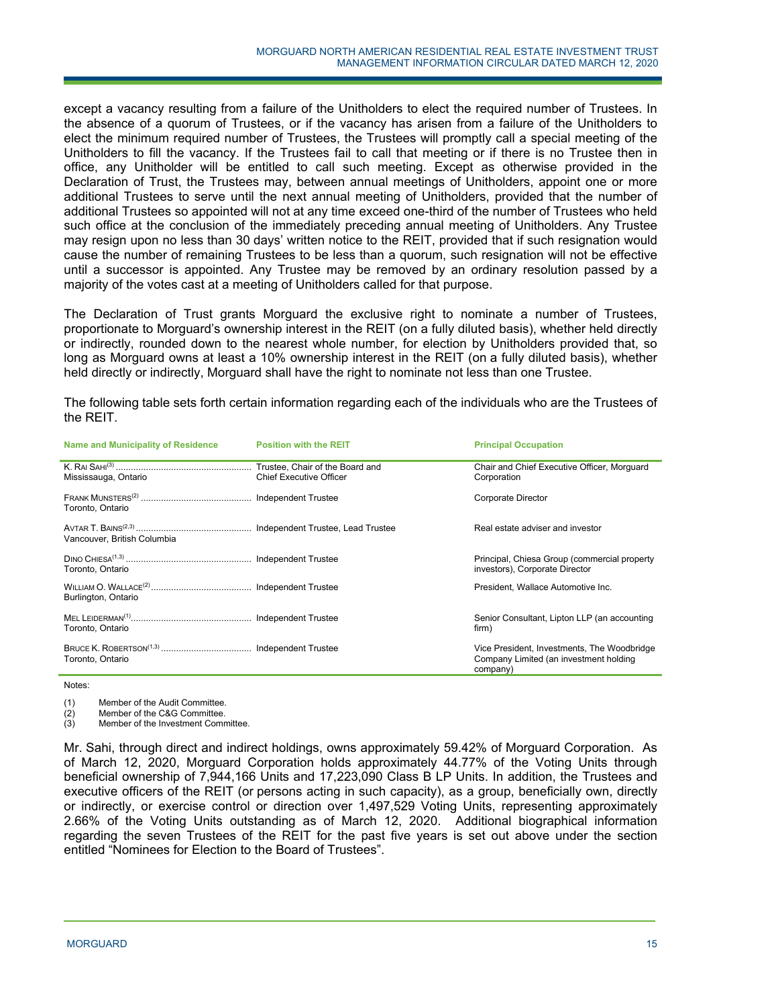except a vacancy resulting from a failure of the Unitholders to elect the required number of Trustees. In the absence of a quorum of Trustees, or if the vacancy has arisen from a failure of the Unitholders to elect the minimum required number of Trustees, the Trustees will promptly call a special meeting of the Unitholders to fill the vacancy. If the Trustees fail to call that meeting or if there is no Trustee then in office, any Unitholder will be entitled to call such meeting. Except as otherwise provided in the Declaration of Trust, the Trustees may, between annual meetings of Unitholders, appoint one or more additional Trustees to serve until the next annual meeting of Unitholders, provided that the number of additional Trustees so appointed will not at any time exceed one-third of the number of Trustees who held such office at the conclusion of the immediately preceding annual meeting of Unitholders. Any Trustee may resign upon no less than 30 days' written notice to the REIT, provided that if such resignation would cause the number of remaining Trustees to be less than a quorum, such resignation will not be effective until a successor is appointed. Any Trustee may be removed by an ordinary resolution passed by a majority of the votes cast at a meeting of Unitholders called for that purpose.

The Declaration of Trust grants Morguard the exclusive right to nominate a number of Trustees, proportionate to Morguard's ownership interest in the REIT (on a fully diluted basis), whether held directly or indirectly, rounded down to the nearest whole number, for election by Unitholders provided that, so long as Morguard owns at least a 10% ownership interest in the REIT (on a fully diluted basis), whether held directly or indirectly, Morguard shall have the right to nominate not less than one Trustee.

The following table sets forth certain information regarding each of the individuals who are the Trustees of the REIT.

| <b>Name and Municipality of Residence</b> | <b>Position with the REIT</b>  | <b>Principal Occupation</b>                                                                       |
|-------------------------------------------|--------------------------------|---------------------------------------------------------------------------------------------------|
| Mississauga, Ontario                      | <b>Chief Executive Officer</b> | Chair and Chief Executive Officer, Morguard<br>Corporation                                        |
| Toronto, Ontario                          |                                | Corporate Director                                                                                |
| Vancouver, British Columbia               |                                | Real estate adviser and investor                                                                  |
| Toronto, Ontario                          |                                | Principal, Chiesa Group (commercial property<br>investors), Corporate Director                    |
| Burlington, Ontario                       |                                | President, Wallace Automotive Inc.                                                                |
| Toronto, Ontario                          |                                | Senior Consultant, Lipton LLP (an accounting<br>firm)                                             |
| Toronto, Ontario                          |                                | Vice President, Investments, The Woodbridge<br>Company Limited (an investment holding<br>company) |

Notes:

(1) Member of the Audit Committee.

(2) Member of the C&G Committee.

(3) Member of the Investment Committee.

Mr. Sahi, through direct and indirect holdings, owns approximately 59.42% of Morguard Corporation. As of March 12, 2020, Morguard Corporation holds approximately 44.77% of the Voting Units through beneficial ownership of 7,944,166 Units and 17,223,090 Class B LP Units. In addition, the Trustees and executive officers of the REIT (or persons acting in such capacity), as a group, beneficially own, directly or indirectly, or exercise control or direction over 1,497,529 Voting Units, representing approximately 2.66% of the Voting Units outstanding as of March 12, 2020. Additional biographical information regarding the seven Trustees of the REIT for the past five years is set out above under the section entitled "Nominees for Election to the Board of Trustees".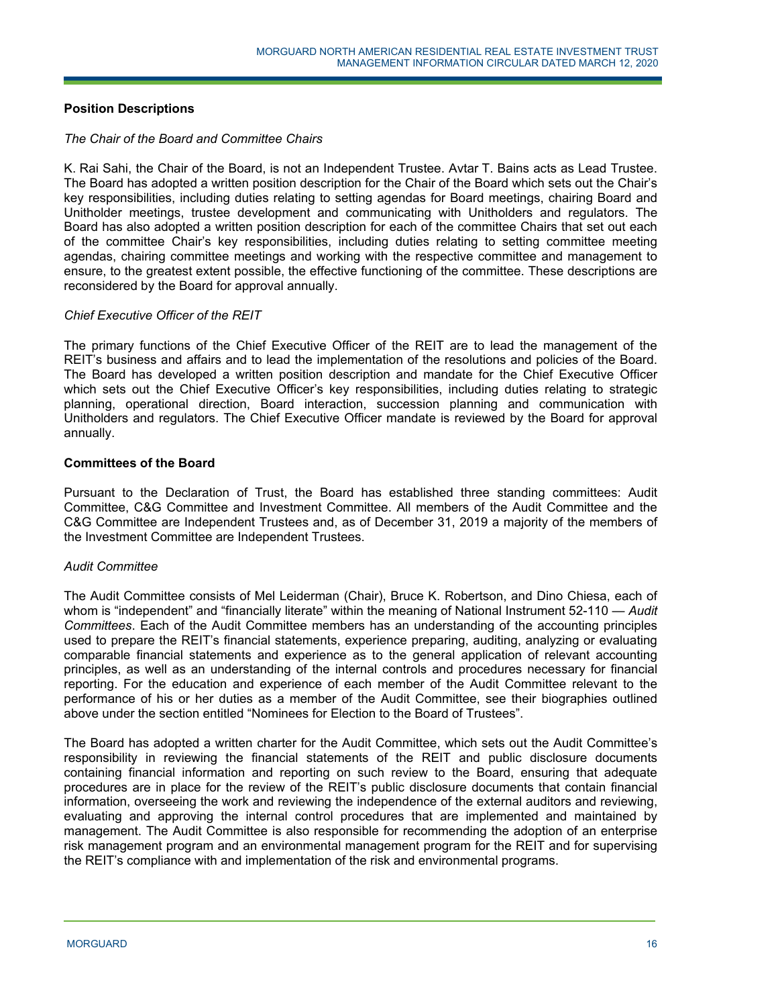# **Position Descriptions**

### *The Chair of the Board and Committee Chairs*

K. Rai Sahi, the Chair of the Board, is not an Independent Trustee. Avtar T. Bains acts as Lead Trustee. The Board has adopted a written position description for the Chair of the Board which sets out the Chair's key responsibilities, including duties relating to setting agendas for Board meetings, chairing Board and Unitholder meetings, trustee development and communicating with Unitholders and regulators. The Board has also adopted a written position description for each of the committee Chairs that set out each of the committee Chair's key responsibilities, including duties relating to setting committee meeting agendas, chairing committee meetings and working with the respective committee and management to ensure, to the greatest extent possible, the effective functioning of the committee. These descriptions are reconsidered by the Board for approval annually.

## *Chief Executive Officer of the REIT*

The primary functions of the Chief Executive Officer of the REIT are to lead the management of the REIT's business and affairs and to lead the implementation of the resolutions and policies of the Board. The Board has developed a written position description and mandate for the Chief Executive Officer which sets out the Chief Executive Officer's key responsibilities, including duties relating to strategic planning, operational direction, Board interaction, succession planning and communication with Unitholders and regulators. The Chief Executive Officer mandate is reviewed by the Board for approval annually.

## **Committees of the Board**

Pursuant to the Declaration of Trust, the Board has established three standing committees: Audit Committee, C&G Committee and Investment Committee. All members of the Audit Committee and the C&G Committee are Independent Trustees and, as of December 31, 2019 a majority of the members of the Investment Committee are Independent Trustees.

### *Audit Committee*

The Audit Committee consists of Mel Leiderman (Chair), Bruce K. Robertson, and Dino Chiesa, each of whom is "independent" and "financially literate" within the meaning of National Instrument 52-110 — *Audit Committees*. Each of the Audit Committee members has an understanding of the accounting principles used to prepare the REIT's financial statements, experience preparing, auditing, analyzing or evaluating comparable financial statements and experience as to the general application of relevant accounting principles, as well as an understanding of the internal controls and procedures necessary for financial reporting. For the education and experience of each member of the Audit Committee relevant to the performance of his or her duties as a member of the Audit Committee, see their biographies outlined above under the section entitled "Nominees for Election to the Board of Trustees".

The Board has adopted a written charter for the Audit Committee, which sets out the Audit Committee's responsibility in reviewing the financial statements of the REIT and public disclosure documents containing financial information and reporting on such review to the Board, ensuring that adequate procedures are in place for the review of the REIT's public disclosure documents that contain financial information, overseeing the work and reviewing the independence of the external auditors and reviewing, evaluating and approving the internal control procedures that are implemented and maintained by management. The Audit Committee is also responsible for recommending the adoption of an enterprise risk management program and an environmental management program for the REIT and for supervising the REIT's compliance with and implementation of the risk and environmental programs.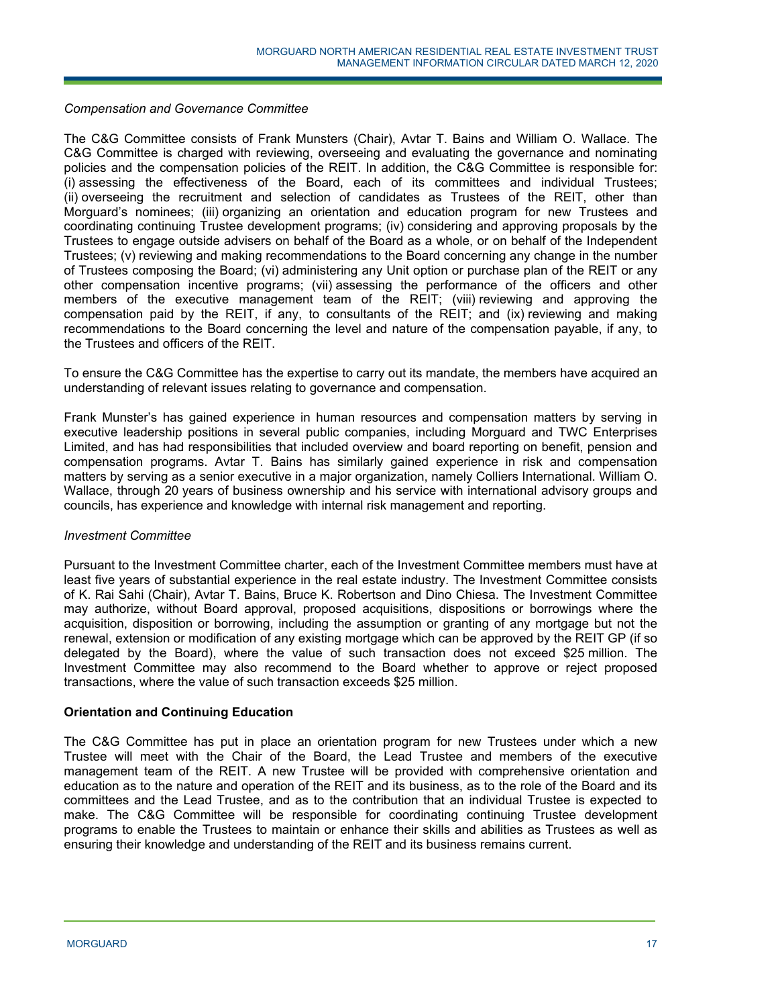### *Compensation and Governance Committee*

The C&G Committee consists of Frank Munsters (Chair), Avtar T. Bains and William O. Wallace. The C&G Committee is charged with reviewing, overseeing and evaluating the governance and nominating policies and the compensation policies of the REIT. In addition, the C&G Committee is responsible for: (i) assessing the effectiveness of the Board, each of its committees and individual Trustees; (ii) overseeing the recruitment and selection of candidates as Trustees of the REIT, other than Morguard's nominees; (iii) organizing an orientation and education program for new Trustees and coordinating continuing Trustee development programs; (iv) considering and approving proposals by the Trustees to engage outside advisers on behalf of the Board as a whole, or on behalf of the Independent Trustees; (v) reviewing and making recommendations to the Board concerning any change in the number of Trustees composing the Board; (vi) administering any Unit option or purchase plan of the REIT or any other compensation incentive programs; (vii) assessing the performance of the officers and other members of the executive management team of the REIT; (viii) reviewing and approving the compensation paid by the REIT, if any, to consultants of the REIT; and (ix) reviewing and making recommendations to the Board concerning the level and nature of the compensation payable, if any, to the Trustees and officers of the REIT.

To ensure the C&G Committee has the expertise to carry out its mandate, the members have acquired an understanding of relevant issues relating to governance and compensation.

Frank Munster's has gained experience in human resources and compensation matters by serving in executive leadership positions in several public companies, including Morguard and TWC Enterprises Limited, and has had responsibilities that included overview and board reporting on benefit, pension and compensation programs. Avtar T. Bains has similarly gained experience in risk and compensation matters by serving as a senior executive in a major organization, namely Colliers International. William O. Wallace, through 20 years of business ownership and his service with international advisory groups and councils, has experience and knowledge with internal risk management and reporting.

### *Investment Committee*

Pursuant to the Investment Committee charter, each of the Investment Committee members must have at least five years of substantial experience in the real estate industry. The Investment Committee consists of K. Rai Sahi (Chair), Avtar T. Bains, Bruce K. Robertson and Dino Chiesa. The Investment Committee may authorize, without Board approval, proposed acquisitions, dispositions or borrowings where the acquisition, disposition or borrowing, including the assumption or granting of any mortgage but not the renewal, extension or modification of any existing mortgage which can be approved by the REIT GP (if so delegated by the Board), where the value of such transaction does not exceed \$25 million. The Investment Committee may also recommend to the Board whether to approve or reject proposed transactions, where the value of such transaction exceeds \$25 million.

### **Orientation and Continuing Education**

The C&G Committee has put in place an orientation program for new Trustees under which a new Trustee will meet with the Chair of the Board, the Lead Trustee and members of the executive management team of the REIT. A new Trustee will be provided with comprehensive orientation and education as to the nature and operation of the REIT and its business, as to the role of the Board and its committees and the Lead Trustee, and as to the contribution that an individual Trustee is expected to make. The C&G Committee will be responsible for coordinating continuing Trustee development programs to enable the Trustees to maintain or enhance their skills and abilities as Trustees as well as ensuring their knowledge and understanding of the REIT and its business remains current.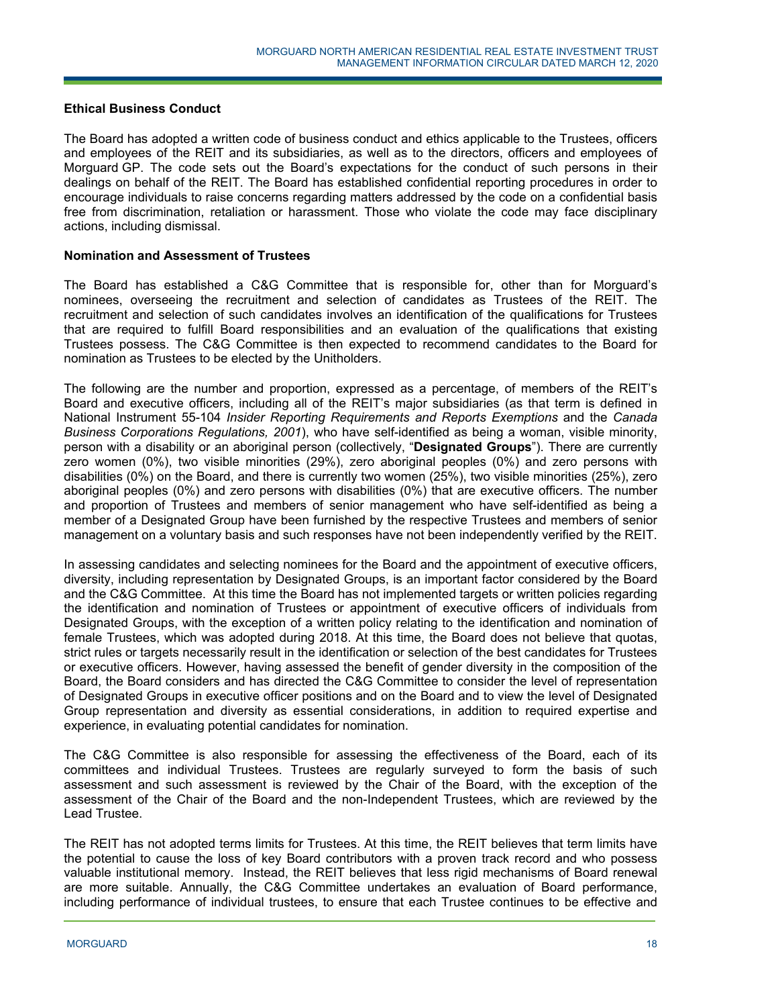### **Ethical Business Conduct**

The Board has adopted a written code of business conduct and ethics applicable to the Trustees, officers and employees of the REIT and its subsidiaries, as well as to the directors, officers and employees of Morguard GP. The code sets out the Board's expectations for the conduct of such persons in their dealings on behalf of the REIT. The Board has established confidential reporting procedures in order to encourage individuals to raise concerns regarding matters addressed by the code on a confidential basis free from discrimination, retaliation or harassment. Those who violate the code may face disciplinary actions, including dismissal.

### **Nomination and Assessment of Trustees**

The Board has established a C&G Committee that is responsible for, other than for Morguard's nominees, overseeing the recruitment and selection of candidates as Trustees of the REIT. The recruitment and selection of such candidates involves an identification of the qualifications for Trustees that are required to fulfill Board responsibilities and an evaluation of the qualifications that existing Trustees possess. The C&G Committee is then expected to recommend candidates to the Board for nomination as Trustees to be elected by the Unitholders.

The following are the number and proportion, expressed as a percentage, of members of the REIT's Board and executive officers, including all of the REIT's major subsidiaries (as that term is defined in National Instrument 55-104 *Insider Reporting Requirements and Reports Exemptions* and the *Canada Business Corporations Regulations, 2001*), who have self-identified as being a woman, visible minority, person with a disability or an aboriginal person (collectively, "**Designated Groups**"). There are currently zero women (0%), two visible minorities (29%), zero aboriginal peoples (0%) and zero persons with disabilities (0%) on the Board, and there is currently two women (25%), two visible minorities (25%), zero aboriginal peoples (0%) and zero persons with disabilities (0%) that are executive officers. The number and proportion of Trustees and members of senior management who have self-identified as being a member of a Designated Group have been furnished by the respective Trustees and members of senior management on a voluntary basis and such responses have not been independently verified by the REIT.

In assessing candidates and selecting nominees for the Board and the appointment of executive officers, diversity, including representation by Designated Groups, is an important factor considered by the Board and the C&G Committee. At this time the Board has not implemented targets or written policies regarding the identification and nomination of Trustees or appointment of executive officers of individuals from Designated Groups, with the exception of a written policy relating to the identification and nomination of female Trustees, which was adopted during 2018. At this time, the Board does not believe that quotas, strict rules or targets necessarily result in the identification or selection of the best candidates for Trustees or executive officers. However, having assessed the benefit of gender diversity in the composition of the Board, the Board considers and has directed the C&G Committee to consider the level of representation of Designated Groups in executive officer positions and on the Board and to view the level of Designated Group representation and diversity as essential considerations, in addition to required expertise and experience, in evaluating potential candidates for nomination.

The C&G Committee is also responsible for assessing the effectiveness of the Board, each of its committees and individual Trustees. Trustees are regularly surveyed to form the basis of such assessment and such assessment is reviewed by the Chair of the Board, with the exception of the assessment of the Chair of the Board and the non-Independent Trustees, which are reviewed by the Lead Trustee.

The REIT has not adopted terms limits for Trustees. At this time, the REIT believes that term limits have the potential to cause the loss of key Board contributors with a proven track record and who possess valuable institutional memory. Instead, the REIT believes that less rigid mechanisms of Board renewal are more suitable. Annually, the C&G Committee undertakes an evaluation of Board performance, including performance of individual trustees, to ensure that each Trustee continues to be effective and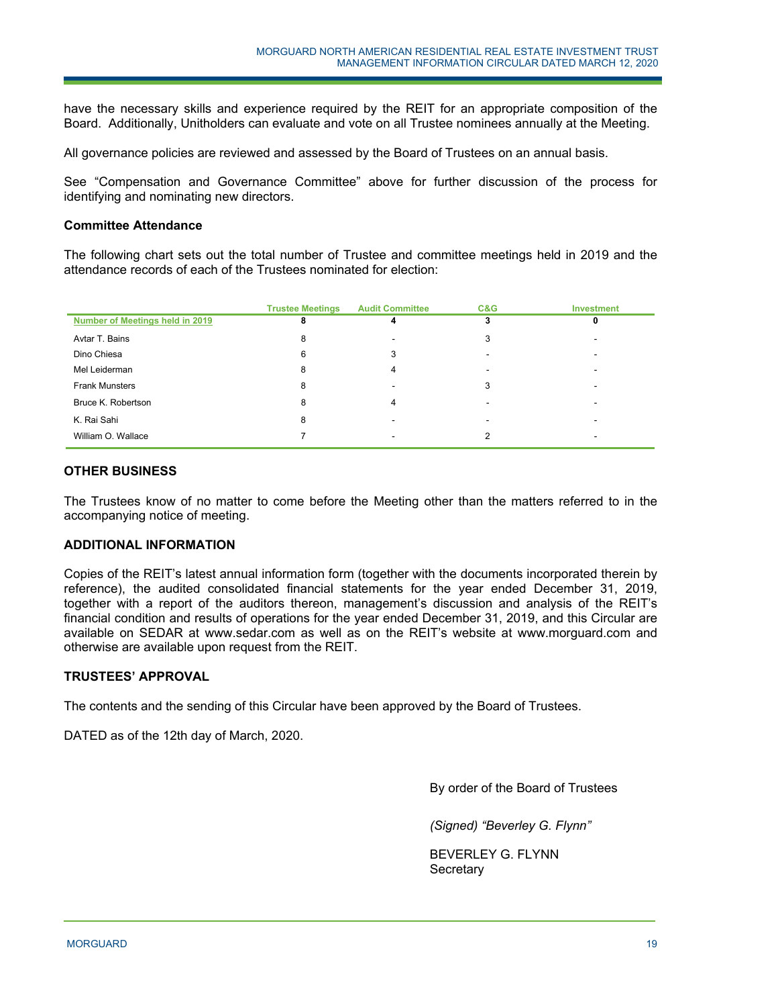have the necessary skills and experience required by the REIT for an appropriate composition of the Board. Additionally, Unitholders can evaluate and vote on all Trustee nominees annually at the Meeting.

All governance policies are reviewed and assessed by the Board of Trustees on an annual basis.

See "Compensation and Governance Committee" above for further discussion of the process for identifying and nominating new directors.

### **Committee Attendance**

The following chart sets out the total number of Trustee and committee meetings held in 2019 and the attendance records of each of the Trustees nominated for election:

|                                 | <b>Trustee Meetings</b> | <b>Audit Committee</b> | C&G | <b>Investment</b> |
|---------------------------------|-------------------------|------------------------|-----|-------------------|
| Number of Meetings held in 2019 | 8                       |                        |     |                   |
| Avtar T. Bains                  | 8                       |                        | 3   |                   |
| Dino Chiesa                     | 6                       |                        |     |                   |
| Mel Leiderman                   | 8                       |                        |     |                   |
| <b>Frank Munsters</b>           | 8                       |                        | 3   |                   |
| Bruce K. Robertson              | 8                       | Δ                      |     |                   |
| K. Rai Sahi                     | 8                       |                        |     |                   |
| William O. Wallace              |                         |                        | っ   |                   |

## **OTHER BUSINESS**

The Trustees know of no matter to come before the Meeting other than the matters referred to in the accompanying notice of meeting.

## **ADDITIONAL INFORMATION**

Copies of the REIT's latest annual information form (together with the documents incorporated therein by reference), the audited consolidated financial statements for the year ended December 31, 2019, together with a report of the auditors thereon, management's discussion and analysis of the REIT's financial condition and results of operations for the year ended December 31, 2019, and this Circular are available on SEDAR at www.sedar.com as well as on the REIT's website at www.morguard.com and otherwise are available upon request from the REIT.

### **TRUSTEES' APPROVAL**

The contents and the sending of this Circular have been approved by the Board of Trustees.

DATED as of the 12th day of March, 2020.

By order of the Board of Trustees

*(Signed) "Beverley G. Flynn"* 

BEVERLEY G. FLYNN **Secretary**